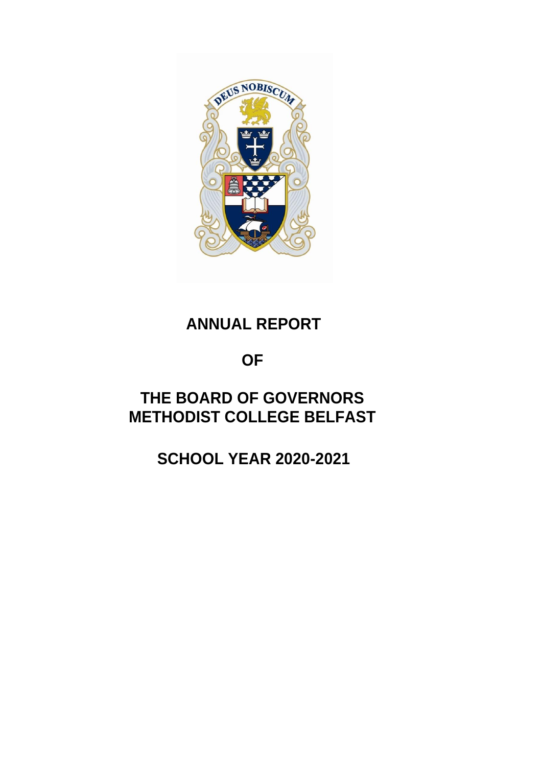

# **ANNUAL REPORT**

# **OF**

# **THE BOARD OF GOVERNORS METHODIST COLLEGE BELFAST**

# **SCHOOL YEAR 2020-2021**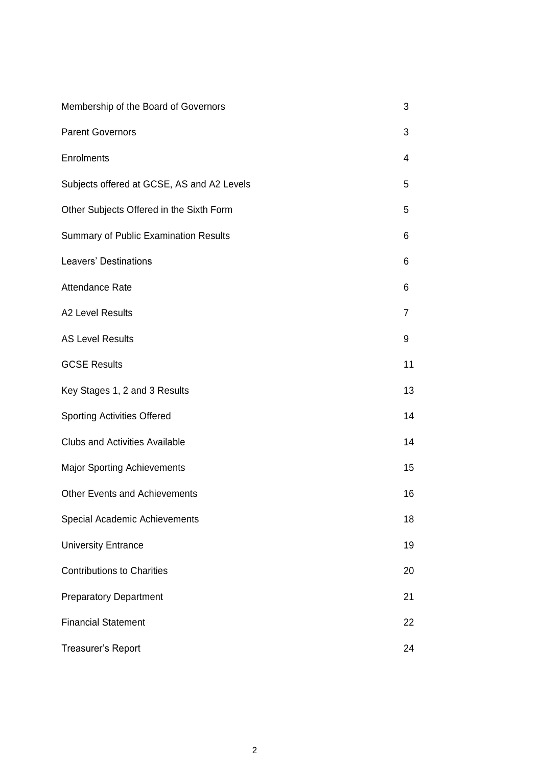| Membership of the Board of Governors         | 3  |
|----------------------------------------------|----|
| <b>Parent Governors</b>                      | 3  |
| <b>Enrolments</b>                            | 4  |
| Subjects offered at GCSE, AS and A2 Levels   | 5  |
| Other Subjects Offered in the Sixth Form     | 5  |
| <b>Summary of Public Examination Results</b> | 6  |
| <b>Leavers' Destinations</b>                 | 6  |
| Attendance Rate                              | 6  |
| A2 Level Results                             | 7  |
| <b>AS Level Results</b>                      | 9  |
| <b>GCSE Results</b>                          | 11 |
| Key Stages 1, 2 and 3 Results                | 13 |
| <b>Sporting Activities Offered</b>           | 14 |
| <b>Clubs and Activities Available</b>        | 14 |
| <b>Major Sporting Achievements</b>           | 15 |
| <b>Other Events and Achievements</b>         | 16 |
| Special Academic Achievements                | 18 |
| <b>University Entrance</b>                   | 19 |
| <b>Contributions to Charities</b>            | 20 |
| <b>Preparatory Department</b>                | 21 |
| <b>Financial Statement</b>                   | 22 |
| Treasurer's Report                           | 24 |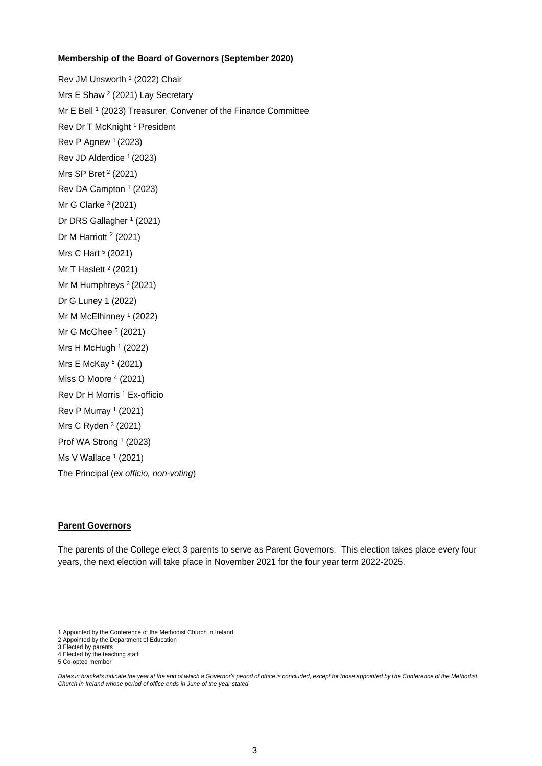#### **Membership of the Board of Governors (September 2020)**

Rev JM Unsworth <sup>1</sup> (2022) Chair Mrs E Shaw <sup>2</sup> (2021) Lay Secretary Mr E Bell <sup>1</sup> (2023) Treasurer, Convener of the Finance Committee Rev Dr T McKnight <sup>1</sup> President Rev P Agnew  $1(2023)$ Rev JD Alderdice <sup>1</sup> (2023) Mrs SP Bret <sup>2</sup> (2021) Rev DA Campton  $1$  (2023) Mr G Clarke  $3(2021)$ Dr DRS Gallagher <sup>1</sup> (2021) Dr M Harriott<sup>2</sup> (2021) Mrs C Hart <sup>5</sup> (2021) Mr T Haslett <sup>2</sup> (2021) Mr M Humphreys <sup>3</sup> (2021) Dr G Luney 1 (2022) Mr M McElhinney <sup>1</sup> (2022) Mr G McGhee <sup>5</sup> (2021) Mrs H McHugh <sup>1</sup> (2022) Mrs E McKay <sup>5</sup> (2021) Miss O Moore <sup>4</sup> (2021) Rev Dr H Morris <sup>1</sup> Ex-officio Rev P Murray <sup>1</sup> (2021) Mrs C Ryden <sup>3</sup> (2021) Prof WA Strong <sup>1</sup> (2023) Ms V Wallace <sup>1</sup> (2021) The Principal (*ex officio, non-voting*)

#### **Parent Governors**

The parents of the College elect 3 parents to serve as Parent Governors. This election takes place every four years, the next election will take place in November 2021 for the four year term 2022-2025.

<sup>1</sup> Appointed by the Conference of the Methodist Church in Ireland

<sup>2</sup> Appointed by the Department of Education

<sup>3</sup> Elected by parents

<sup>4</sup> Elected by the teaching staff

<sup>5</sup> Co-opted member

*Dates in brackets indicate the year at the end of which a Governor's period of office is concluded, except for those appointed by the Conference of the Methodist Church in Ireland whose period of office ends in June of the year stated.*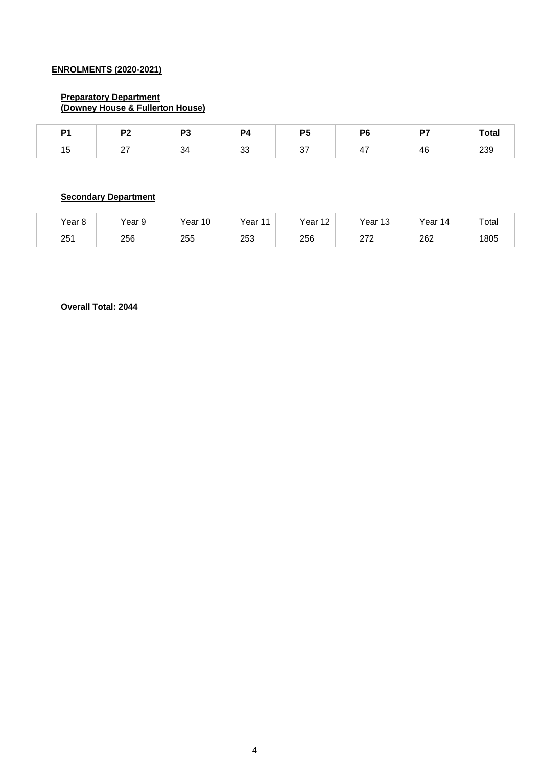## **ENROLMENTS (2020-2021)**

#### **Preparatory Department (Downey House & Fullerton House)**

| D <sub>1</sub><br>. | no.<br>$\cdot$ $-$ | mo. | P4            | DF<br>-<br>$\sim$ | DС | D7 | Total |
|---------------------|--------------------|-----|---------------|-------------------|----|----|-------|
| . .<br>ں ו          | - '                |     | $\Omega$<br>ິ |                   |    | 4c | 239   |

# **Secondary Department**

| Year 8          | Year 9 | Year 10 | Year<br>. . | Year.<br>$\overline{A}$<br>∠ | Year<br>$\sim$<br>ں ا | $\vee$ ear<br>4 | Total |
|-----------------|--------|---------|-------------|------------------------------|-----------------------|-----------------|-------|
| 25 <sup>′</sup> | 256    | 255     | 253         | 256                          | הדה<br><u>_ 1 _</u>   | 262             | 1805  |

**Overall Total: 2044**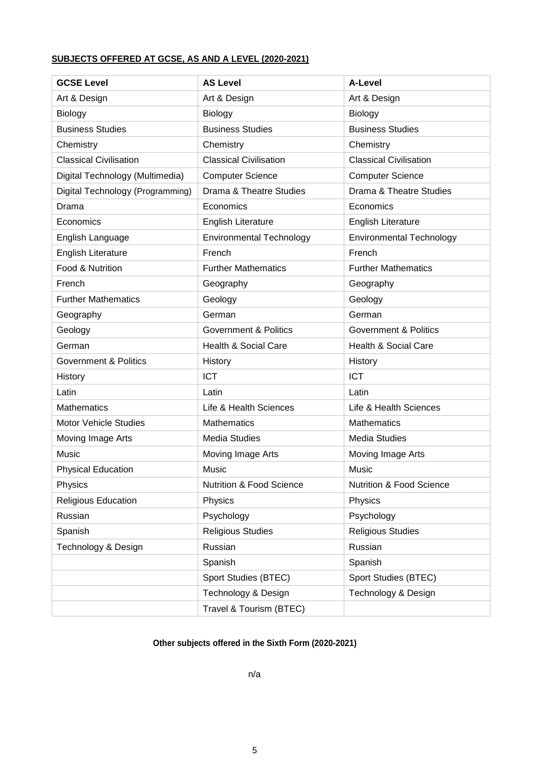# **SUBJECTS OFFERED AT GCSE, AS AND A LEVEL (2020-2021)**

| <b>GCSE Level</b>                | <b>AS Level</b>                     | A-Level                          |
|----------------------------------|-------------------------------------|----------------------------------|
| Art & Design                     | Art & Design                        | Art & Design                     |
| <b>Biology</b>                   | Biology                             | Biology                          |
| <b>Business Studies</b>          | <b>Business Studies</b>             | <b>Business Studies</b>          |
| Chemistry                        | Chemistry                           | Chemistry                        |
| <b>Classical Civilisation</b>    | <b>Classical Civilisation</b>       | <b>Classical Civilisation</b>    |
| Digital Technology (Multimedia)  | <b>Computer Science</b>             | <b>Computer Science</b>          |
| Digital Technology (Programming) | Drama & Theatre Studies             | Drama & Theatre Studies          |
| Drama                            | Economics                           | Economics                        |
| Economics                        | <b>English Literature</b>           | <b>English Literature</b>        |
| English Language                 | <b>Environmental Technology</b>     | <b>Environmental Technology</b>  |
| <b>English Literature</b>        | French                              | French                           |
| Food & Nutrition                 | <b>Further Mathematics</b>          | <b>Further Mathematics</b>       |
| French                           | Geography                           | Geography                        |
| <b>Further Mathematics</b>       | Geology                             | Geology                          |
| Geography                        | German                              | German                           |
| Geology                          | <b>Government &amp; Politics</b>    | <b>Government &amp; Politics</b> |
| German                           | <b>Health &amp; Social Care</b>     | <b>Health &amp; Social Care</b>  |
| <b>Government &amp; Politics</b> | History                             | History                          |
| History                          | <b>ICT</b>                          | <b>ICT</b>                       |
| Latin                            | Latin                               | Latin                            |
| <b>Mathematics</b>               | Life & Health Sciences              | Life & Health Sciences           |
| <b>Motor Vehicle Studies</b>     | <b>Mathematics</b>                  | <b>Mathematics</b>               |
| Moving Image Arts                | <b>Media Studies</b>                | <b>Media Studies</b>             |
| Music                            | Moving Image Arts                   | Moving Image Arts                |
| <b>Physical Education</b>        | Music                               | Music                            |
| Physics                          | <b>Nutrition &amp; Food Science</b> | Nutrition & Food Science         |
| Religious Education              | Physics                             | Physics                          |
| Russian                          | Psychology                          | Psychology                       |
| Spanish                          | <b>Religious Studies</b>            | <b>Religious Studies</b>         |
| Technology & Design              | Russian                             | Russian                          |
|                                  | Spanish                             | Spanish                          |
|                                  | Sport Studies (BTEC)                | Sport Studies (BTEC)             |
|                                  | Technology & Design                 | Technology & Design              |
|                                  | Travel & Tourism (BTEC)             |                                  |

# **Other subjects offered in the Sixth Form (2020-2021)**

n/a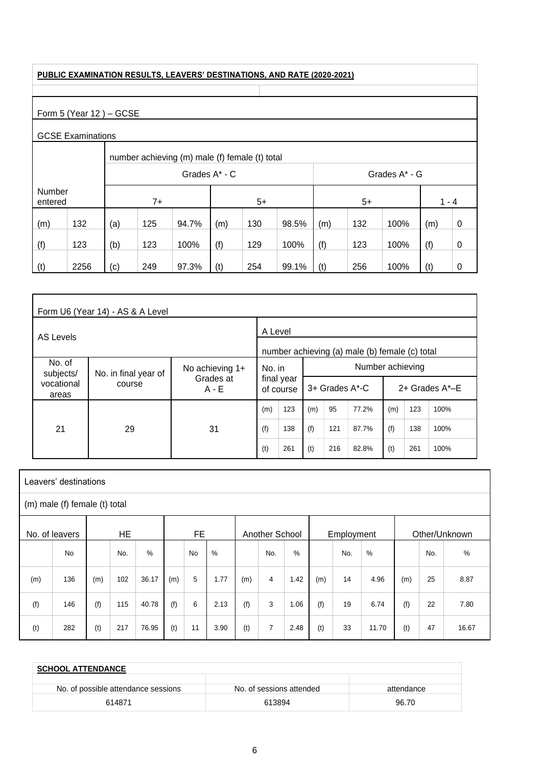#### **PUBLIC EXAMINATION RESULTS, LEAVERS' DESTINATIONS, AND RATE (2020-2021)**

# Form 5 (Year 12) - GCSE

# GCSE Examinations

|                   |      |     | number achieving (m) male (f) female (t) total                        |       |               |                                    |      |     |     |               |     |             |  |  |  |  |
|-------------------|------|-----|-----------------------------------------------------------------------|-------|---------------|------------------------------------|------|-----|-----|---------------|-----|-------------|--|--|--|--|
|                   |      |     |                                                                       |       | Grades A* - C |                                    |      |     |     | Grades A* - G |     |             |  |  |  |  |
| Number<br>entered |      |     | $5+$<br>$7+$<br>$5+$                                                  |       |               |                                    |      |     |     |               |     | $1 - 4$     |  |  |  |  |
| (m)               | 132  | (a) | 125                                                                   | 94.7% | (m)           | 130<br>132<br>98.5%<br>100%<br>(m) |      |     |     |               | (m) | 0           |  |  |  |  |
| (f)               | 123  | (b) | 123                                                                   | 100%  | (f)           | 129                                | 100% | (f) | 123 | 100%          | (f) | $\mathbf 0$ |  |  |  |  |
| (t)               | 2256 | (c) | 249<br>97.3%<br>(t)<br>254<br>99.1%<br>(t)<br>256<br>100%<br>(t)<br>0 |       |               |                                    |      |     |     |               |     |             |  |  |  |  |

|                     | Form U6 (Year 14) - AS & A Level |                                                |        |                         |     |                |                  |     |     |                      |
|---------------------|----------------------------------|------------------------------------------------|--------|-------------------------|-----|----------------|------------------|-----|-----|----------------------|
| AS Levels           | A Level                          |                                                |        |                         |     |                |                  |     |     |                      |
|                     |                                  | number achieving (a) male (b) female (c) total |        |                         |     |                |                  |     |     |                      |
| No. of<br>subjects/ | No. in final year of             | No achieving 1+                                | No. in |                         |     |                | Number achieving |     |     |                      |
| vocational<br>areas | course                           | Grades at<br>$A - E$                           |        | final year<br>of course |     | 3+ Grades A*-C |                  |     |     | $2+$ Grades $A^*$ –E |
|                     |                                  |                                                | (m)    | 123                     | (m) | 95             | 77.2%            | (m) | 123 | 100%                 |
| 21                  | 29<br>31                         |                                                | (f)    | 138                     | (f) | 121            | 87.7%            | (f) | 138 | 100%                 |
|                     |                                  |                                                | (t)    | 261                     | (t) | 216            | 82.8%            | (t) | 261 | 100%                 |

|                                                                                    | Leavers' destinations |     |     |       |     |           |      |     |                |      |     |     |       |     |     |       |
|------------------------------------------------------------------------------------|-----------------------|-----|-----|-------|-----|-----------|------|-----|----------------|------|-----|-----|-------|-----|-----|-------|
| (m) male (f) female (t) total                                                      |                       |     |     |       |     |           |      |     |                |      |     |     |       |     |     |       |
| <b>HE</b><br>FE<br>No. of leavers<br>Another School<br>Other/Unknown<br>Employment |                       |     |     |       |     |           |      |     |                |      |     |     |       |     |     |       |
|                                                                                    | No                    |     | No. | %     |     | <b>No</b> | $\%$ |     | No.            | $\%$ |     | No. | $\%$  |     | No. | $\%$  |
| (m)                                                                                | 136                   | (m) | 102 | 36.17 | (m) | 5         | 1.77 | (m) | 4              | 1.42 | (m) | 14  | 4.96  | (m) | 25  | 8.87  |
| (f)                                                                                | 146                   | (f) | 115 | 40.78 | (f) | 6         | 2.13 | (f) | 3              | 1.06 | (f) | 19  | 6.74  | (f) | 22  | 7.80  |
| (t)                                                                                | 282                   | (t) | 217 | 76.95 | (t) | 11        | 3.90 | (t) | $\overline{7}$ | 2.48 | (t) | 33  | 11.70 | (t) | 47  | 16.67 |

| <b>SCHOOL ATTENDANCE</b>            |                          |            |  |  |  |  |  |  |
|-------------------------------------|--------------------------|------------|--|--|--|--|--|--|
| No. of possible attendance sessions | No. of sessions attended | attendance |  |  |  |  |  |  |
| 614871                              | 613894                   | 96.70      |  |  |  |  |  |  |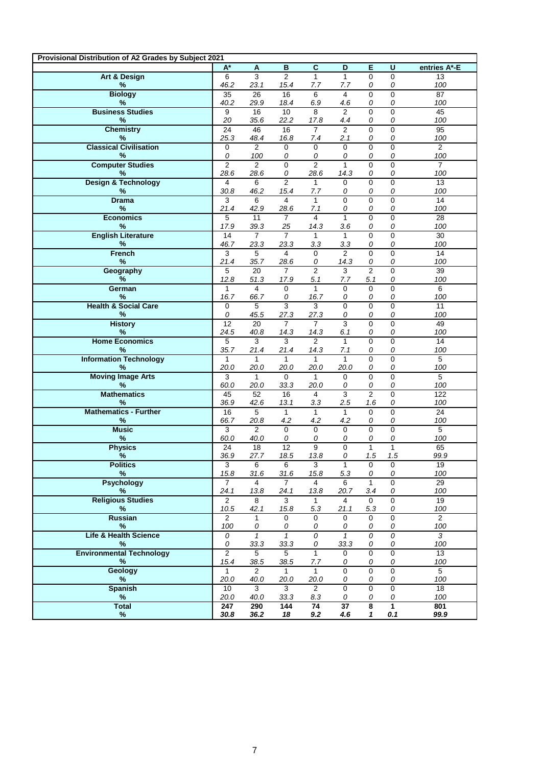| Art & Design<br>$\overline{3}$<br>$\overline{2}$<br>$\mathbf{1}$<br>$\mathbf{1}$<br>$\mathsf{O}\xspace$<br>6<br>0<br>13<br>46.2<br>%<br>23.1<br>15.4<br>100<br>7.7<br>7.7<br>0<br>0<br><b>Biology</b><br>35<br>26<br>16<br>6<br>4<br>0<br>0<br>87<br>%<br>40.2<br>18.4<br>29.9<br>6.9<br>4.6<br>0<br>0<br>100<br><b>Business Studies</b><br>$\overline{2}$<br>$\overline{9}$<br>10<br>8<br>$\Omega$<br>$\overline{45}$<br>16<br>$\Omega$<br>20<br>35.6<br>22.2<br>0<br>100<br>%<br>17.8<br>4.4<br>0<br><b>Chemistry</b><br>$\overline{2}$<br>24<br>46<br>16<br>$\overline{7}$<br>$\Omega$<br>$\mathbf{0}$<br>95<br>25.3<br>%<br>48.4<br>16.8<br>2.1<br>0<br>100<br>7.4<br>0<br><b>Classical Civilisation</b><br>$\mathbf 0$<br>$\mathbf 0$<br>$\overline{2}$<br>$\mathbf 0$<br>$\overline{2}$<br>$\mathbf 0$<br>$\Omega$<br>$\mathbf 0$<br>0<br>0<br>0<br>100<br>%<br>100<br>0<br>0<br>0<br><b>Computer Studies</b><br>$\overline{2}$<br>$\overline{2}$<br>$\overline{0}$<br>$\overline{2}$<br>$\overline{0}$<br>$\overline{7}$<br>$\mathbf{1}$<br>$\overline{0}$<br>28.6<br>100<br>%<br>28.6<br>0<br>28.6<br>14.3<br>0<br>0<br><b>Design &amp; Technology</b><br>$\overline{2}$<br>$\Omega$<br>$\Omega$<br>13<br>$\overline{4}$<br>6<br>$\mathbf{1}$<br>$\Omega$<br>$\%$<br>30.8<br>100<br>46.2<br>15.4<br>7.7<br>0<br>0<br>0<br>$\overline{0}$<br>$\overline{0}$<br>0<br>$\overline{14}$<br><b>Drama</b><br>3<br>6<br>4<br>$\mathbf{1}$<br>21.4<br>%<br>42.9<br>28.6<br>0<br>100<br>7.1<br>0<br>0<br><b>Economics</b><br>$\mathbf{1}$<br>0<br>5<br>$\overline{7}$<br>4<br>0<br>28<br>11<br>17.9<br>25<br>%<br>39.3<br>3.6<br>0<br>100<br>14.3<br>0<br><b>English Literature</b><br>$\overline{7}$<br>$\overline{7}$<br>$\mathbf{0}$<br>14<br>$\mathbf{1}$<br>0<br>30<br>$\mathbf{1}$<br>46.7<br>23.3<br>23.3<br>100<br>%<br>3.3<br>3.3<br>0<br>0<br><b>French</b><br>$\mathbf{3}$<br>5<br>$\overline{4}$<br>$\overline{2}$<br>0<br>14<br>$\Omega$<br>$\Omega$<br>%<br>21.4<br>100<br>35.7<br>28.6<br>14.3<br>0<br>0<br>0<br>$\overline{2}$<br>5<br>$\overline{7}$<br>3<br>$\overline{2}$<br>$\mathbf{0}$<br>39<br>Geography<br>20<br>%<br>12.8<br>5.1<br>100<br>51.3<br>17.9<br>7.7<br>5.1<br>0<br>German<br>$\mathbf{0}$<br>6<br>$\overline{4}$<br>$\mathbf 0$<br>$\mathbf{1}$<br>0<br>0<br>$\mathbf{1}$<br>16.7<br>0<br>0<br>0<br>100<br>%<br>66.7<br>16.7<br>0<br><b>Health &amp; Social Care</b><br>$\overline{3}$<br>5<br>3<br>$\mathbf 0$<br>$\mathbf 0$<br>$\mathbf{0}$<br>11<br>$\mathbf 0$<br>100<br>%<br>0<br>45.5<br>27.3<br>0<br>27.3<br>0<br>0<br>12<br>$\overline{7}$<br>$\overline{7}$<br>$\overline{3}$<br><b>History</b><br>$\overline{20}$<br>$\Omega$<br>$\mathbf 0$<br>49<br>24.5<br>100<br>%<br>40.8<br>14.3<br>14.3<br>6.1<br>0<br>0<br><b>Home Economics</b><br>3<br>3<br>$\overline{2}$<br>0<br>14<br>5<br>$\mathbf{1}$<br>$\Omega$<br>35.7<br>℅<br>21.4<br>14.3<br>0<br>100<br>21.4<br>7.1<br>0<br><b>Information Technology</b><br>0<br>$5\phantom{.0}$<br>$\mathbf{1}$<br>$\mathbf{1}$<br>$\mathbf{1}$<br>$\Omega$<br>$\mathbf{1}$<br>1<br>20.0<br>20.0<br>0<br>100<br>%<br>20.0<br>20.0<br>20.0<br>0<br><b>Moving Image Arts</b><br>3<br>0<br>0<br>$\overline{5}$<br>$\mathbf{1}$<br>$\Omega$<br>$\mathbf{1}$<br>$\mathbf 0$<br>60.0<br>33.3<br>100<br>%<br>20.0<br>20.0<br>0<br>0<br>0<br>45<br>$\overline{3}$<br>$\overline{2}$<br><b>Mathematics</b><br>$\overline{52}$<br>16<br>0<br>$\overline{122}$<br>$\overline{4}$<br>36.9<br>13.1<br>2.5<br>0<br>100<br>%<br>42.6<br>3.3<br>1.6<br><b>Mathematics - Further</b><br>16<br>$\mathbf{1}$<br>$\mathbf{1}$<br>$\mathbf{1}$<br>$\Omega$<br>24<br>5<br>$\Omega$<br>66.7<br>$\%$<br>4.2<br>4.2<br>4.2<br>100<br>20.8<br>0<br>0<br>$\overline{5}$<br><b>Music</b><br>$\mathbf{0}$<br>$\mathbf 0$<br>$\mathbf{0}$<br>3<br>2<br>$\mathbf 0$<br>$\mathbf 0$<br>%<br>60.0<br>100<br>40.0<br>0<br>0<br>0<br>0<br>0<br><b>Physics</b><br>12<br>9<br>$\mathbf{0}$<br>$\mathbf{1}$<br>$\mathbf{1}$<br>65<br>24<br>18<br>99.9<br>$\%$<br>36.9<br>1.5<br>27.7<br>18.5<br>13.8<br>0<br>1.5<br><b>Politics</b><br>3<br>6<br>3<br>0<br>0<br>19<br>6<br>1<br>15.8<br>31.6<br>5.3<br>100<br>%<br>31.6<br>15.8<br>0<br>0<br><b>Psychology</b><br>$\overline{7}$<br>$\mathbf{1}$<br>$\Omega$<br>29<br>4<br>$\overline{7}$<br>6<br>4<br>%<br>24.1<br>13.8<br>20.7<br>100<br>13.8<br>24.1<br>3.4<br>0<br><b>Religious Studies</b><br>8<br>3<br>$\mathbf{0}$<br>19<br>$\overline{2}$<br>$\mathbf{1}$<br>$\overline{4}$<br>$\mathbf 0$<br>10.5<br>42.1<br>15.8<br>5.3<br>5.3<br>100<br>%<br>21.1<br>0<br><b>Russian</b><br>$\mathbf{0}$<br>$\overline{2}$<br>$\overline{2}$<br>0<br>$\mathbf{1}$<br>0<br>0<br>$\mathbf 0$<br>100<br>0<br>100<br>%<br>0<br>0<br>0<br>0<br>0<br><b>Life &amp; Health Science</b><br>$\overline{0}$<br>$\mathbf{1}$<br>$\overline{0}$<br>$\overline{1}$<br>$\overline{\mathcal{O}}$<br>3<br>$\mathbf{1}$<br>0<br>33.3<br>33.3<br>33.3<br>100<br>℅<br>0<br>0<br>0<br>0<br><b>Environmental Technology</b><br>$\overline{2}$<br>$\overline{5}$<br>$\overline{5}$<br>$\mathbf{1}$<br>$\overline{0}$<br>0<br>0<br>13<br>15.4<br>7.7<br>%<br>38.5<br>38.5<br>0<br>100<br>0<br>0<br><b>Geology</b><br>$\overline{2}$<br>$\mathbf{1}$<br>0<br>$\mathbf{0}$<br>$5\phantom{.0}$<br>$\mathbf{1}$<br>0<br>$\mathbf{1}$<br>20.0<br>40.0<br>100<br>%<br>20.0<br>20.0<br>0<br>0<br>0<br><b>Spanish</b><br>$\mathbf 0$<br>$\mathbf 0$<br>$\mathbf 0$<br>10<br>3<br>3<br>$\overline{2}$<br>18<br>20.0<br>40.0<br>33.3<br>8.3<br>0<br>0<br>%<br>0<br>100<br><b>Total</b><br>290<br>$\overline{37}$<br>$\overline{\mathbf{8}}$<br>$\overline{1}$<br>247<br>144<br>74<br>801 | Provisional Distribution of A2 Grades by Subject 2021 |       |      |    |                |     |   |                |              |
|--------------------------------------------------------------------------------------------------------------------------------------------------------------------------------------------------------------------------------------------------------------------------------------------------------------------------------------------------------------------------------------------------------------------------------------------------------------------------------------------------------------------------------------------------------------------------------------------------------------------------------------------------------------------------------------------------------------------------------------------------------------------------------------------------------------------------------------------------------------------------------------------------------------------------------------------------------------------------------------------------------------------------------------------------------------------------------------------------------------------------------------------------------------------------------------------------------------------------------------------------------------------------------------------------------------------------------------------------------------------------------------------------------------------------------------------------------------------------------------------------------------------------------------------------------------------------------------------------------------------------------------------------------------------------------------------------------------------------------------------------------------------------------------------------------------------------------------------------------------------------------------------------------------------------------------------------------------------------------------------------------------------------------------------------------------------------------------------------------------------------------------------------------------------------------------------------------------------------------------------------------------------------------------------------------------------------------------------------------------------------------------------------------------------------------------------------------------------------------------------------------------------------------------------------------------------------------------------------------------------------------------------------------------------------------------------------------------------------------------------------------------------------------------------------------------------------------------------------------------------------------------------------------------------------------------------------------------------------------------------------------------------------------------------------------------------------------------------------------------------------------------------------------------------------------------------------------------------------------------------------------------------------------------------------------------------------------------------------------------------------------------------------------------------------------------------------------------------------------------------------------------------------------------------------------------------------------------------------------------------------------------------------------------------------------------------------------------------------------------------------------------------------------------------------------------------------------------------------------------------------------------------------------------------------------------------------------------------------------------------------------------------------------------------------------------------------------------------------------------------------------------------------------------------------------------------------------------------------------------------------------------------------------------------------------------------------------------------------------------------------------------------------------------------------------------------------------------------------------------------------------------------------------------------------------------------------------------------------------------------------------------------------------------------------------------------------------------------------------------------------------------------------------------------------------------------------------------------------------------------------------------------------------------------------------------------------------------------------------------------------------------------------------------------------------------------------------------------------------------------------------------------------------------------------------------------------------------------------------------------------------------------------------------------------------------------------------------------------------------------------------------------------------------------------------------------------------------------------------------------------------------------------------------------------------------------------------------------------------------------------------------------------|-------------------------------------------------------|-------|------|----|----------------|-----|---|----------------|--------------|
|                                                                                                                                                                                                                                                                                                                                                                                                                                                                                                                                                                                                                                                                                                                                                                                                                                                                                                                                                                                                                                                                                                                                                                                                                                                                                                                                                                                                                                                                                                                                                                                                                                                                                                                                                                                                                                                                                                                                                                                                                                                                                                                                                                                                                                                                                                                                                                                                                                                                                                                                                                                                                                                                                                                                                                                                                                                                                                                                                                                                                                                                                                                                                                                                                                                                                                                                                                                                                                                                                                                                                                                                                                                                                                                                                                                                                                                                                                                                                                                                                                                                                                                                                                                                                                                                                                                                                                                                                                                                                                                                                                                                                                                                                                                                                                                                                                                                                                                                                                                                                                                                                                                                                                                                                                                                                                                                                                                                                                                                                                                                                                                                                                                  |                                                       | $A^*$ | A    | B  | $\overline{c}$ | D   | Е | $\overline{U}$ | entries A*-E |
|                                                                                                                                                                                                                                                                                                                                                                                                                                                                                                                                                                                                                                                                                                                                                                                                                                                                                                                                                                                                                                                                                                                                                                                                                                                                                                                                                                                                                                                                                                                                                                                                                                                                                                                                                                                                                                                                                                                                                                                                                                                                                                                                                                                                                                                                                                                                                                                                                                                                                                                                                                                                                                                                                                                                                                                                                                                                                                                                                                                                                                                                                                                                                                                                                                                                                                                                                                                                                                                                                                                                                                                                                                                                                                                                                                                                                                                                                                                                                                                                                                                                                                                                                                                                                                                                                                                                                                                                                                                                                                                                                                                                                                                                                                                                                                                                                                                                                                                                                                                                                                                                                                                                                                                                                                                                                                                                                                                                                                                                                                                                                                                                                                                  |                                                       |       |      |    |                |     |   |                |              |
|                                                                                                                                                                                                                                                                                                                                                                                                                                                                                                                                                                                                                                                                                                                                                                                                                                                                                                                                                                                                                                                                                                                                                                                                                                                                                                                                                                                                                                                                                                                                                                                                                                                                                                                                                                                                                                                                                                                                                                                                                                                                                                                                                                                                                                                                                                                                                                                                                                                                                                                                                                                                                                                                                                                                                                                                                                                                                                                                                                                                                                                                                                                                                                                                                                                                                                                                                                                                                                                                                                                                                                                                                                                                                                                                                                                                                                                                                                                                                                                                                                                                                                                                                                                                                                                                                                                                                                                                                                                                                                                                                                                                                                                                                                                                                                                                                                                                                                                                                                                                                                                                                                                                                                                                                                                                                                                                                                                                                                                                                                                                                                                                                                                  |                                                       |       |      |    |                |     |   |                |              |
|                                                                                                                                                                                                                                                                                                                                                                                                                                                                                                                                                                                                                                                                                                                                                                                                                                                                                                                                                                                                                                                                                                                                                                                                                                                                                                                                                                                                                                                                                                                                                                                                                                                                                                                                                                                                                                                                                                                                                                                                                                                                                                                                                                                                                                                                                                                                                                                                                                                                                                                                                                                                                                                                                                                                                                                                                                                                                                                                                                                                                                                                                                                                                                                                                                                                                                                                                                                                                                                                                                                                                                                                                                                                                                                                                                                                                                                                                                                                                                                                                                                                                                                                                                                                                                                                                                                                                                                                                                                                                                                                                                                                                                                                                                                                                                                                                                                                                                                                                                                                                                                                                                                                                                                                                                                                                                                                                                                                                                                                                                                                                                                                                                                  |                                                       |       |      |    |                |     |   |                |              |
|                                                                                                                                                                                                                                                                                                                                                                                                                                                                                                                                                                                                                                                                                                                                                                                                                                                                                                                                                                                                                                                                                                                                                                                                                                                                                                                                                                                                                                                                                                                                                                                                                                                                                                                                                                                                                                                                                                                                                                                                                                                                                                                                                                                                                                                                                                                                                                                                                                                                                                                                                                                                                                                                                                                                                                                                                                                                                                                                                                                                                                                                                                                                                                                                                                                                                                                                                                                                                                                                                                                                                                                                                                                                                                                                                                                                                                                                                                                                                                                                                                                                                                                                                                                                                                                                                                                                                                                                                                                                                                                                                                                                                                                                                                                                                                                                                                                                                                                                                                                                                                                                                                                                                                                                                                                                                                                                                                                                                                                                                                                                                                                                                                                  |                                                       |       |      |    |                |     |   |                |              |
|                                                                                                                                                                                                                                                                                                                                                                                                                                                                                                                                                                                                                                                                                                                                                                                                                                                                                                                                                                                                                                                                                                                                                                                                                                                                                                                                                                                                                                                                                                                                                                                                                                                                                                                                                                                                                                                                                                                                                                                                                                                                                                                                                                                                                                                                                                                                                                                                                                                                                                                                                                                                                                                                                                                                                                                                                                                                                                                                                                                                                                                                                                                                                                                                                                                                                                                                                                                                                                                                                                                                                                                                                                                                                                                                                                                                                                                                                                                                                                                                                                                                                                                                                                                                                                                                                                                                                                                                                                                                                                                                                                                                                                                                                                                                                                                                                                                                                                                                                                                                                                                                                                                                                                                                                                                                                                                                                                                                                                                                                                                                                                                                                                                  |                                                       |       |      |    |                |     |   |                |              |
|                                                                                                                                                                                                                                                                                                                                                                                                                                                                                                                                                                                                                                                                                                                                                                                                                                                                                                                                                                                                                                                                                                                                                                                                                                                                                                                                                                                                                                                                                                                                                                                                                                                                                                                                                                                                                                                                                                                                                                                                                                                                                                                                                                                                                                                                                                                                                                                                                                                                                                                                                                                                                                                                                                                                                                                                                                                                                                                                                                                                                                                                                                                                                                                                                                                                                                                                                                                                                                                                                                                                                                                                                                                                                                                                                                                                                                                                                                                                                                                                                                                                                                                                                                                                                                                                                                                                                                                                                                                                                                                                                                                                                                                                                                                                                                                                                                                                                                                                                                                                                                                                                                                                                                                                                                                                                                                                                                                                                                                                                                                                                                                                                                                  |                                                       |       |      |    |                |     |   |                |              |
|                                                                                                                                                                                                                                                                                                                                                                                                                                                                                                                                                                                                                                                                                                                                                                                                                                                                                                                                                                                                                                                                                                                                                                                                                                                                                                                                                                                                                                                                                                                                                                                                                                                                                                                                                                                                                                                                                                                                                                                                                                                                                                                                                                                                                                                                                                                                                                                                                                                                                                                                                                                                                                                                                                                                                                                                                                                                                                                                                                                                                                                                                                                                                                                                                                                                                                                                                                                                                                                                                                                                                                                                                                                                                                                                                                                                                                                                                                                                                                                                                                                                                                                                                                                                                                                                                                                                                                                                                                                                                                                                                                                                                                                                                                                                                                                                                                                                                                                                                                                                                                                                                                                                                                                                                                                                                                                                                                                                                                                                                                                                                                                                                                                  |                                                       |       |      |    |                |     |   |                |              |
|                                                                                                                                                                                                                                                                                                                                                                                                                                                                                                                                                                                                                                                                                                                                                                                                                                                                                                                                                                                                                                                                                                                                                                                                                                                                                                                                                                                                                                                                                                                                                                                                                                                                                                                                                                                                                                                                                                                                                                                                                                                                                                                                                                                                                                                                                                                                                                                                                                                                                                                                                                                                                                                                                                                                                                                                                                                                                                                                                                                                                                                                                                                                                                                                                                                                                                                                                                                                                                                                                                                                                                                                                                                                                                                                                                                                                                                                                                                                                                                                                                                                                                                                                                                                                                                                                                                                                                                                                                                                                                                                                                                                                                                                                                                                                                                                                                                                                                                                                                                                                                                                                                                                                                                                                                                                                                                                                                                                                                                                                                                                                                                                                                                  |                                                       |       |      |    |                |     |   |                |              |
|                                                                                                                                                                                                                                                                                                                                                                                                                                                                                                                                                                                                                                                                                                                                                                                                                                                                                                                                                                                                                                                                                                                                                                                                                                                                                                                                                                                                                                                                                                                                                                                                                                                                                                                                                                                                                                                                                                                                                                                                                                                                                                                                                                                                                                                                                                                                                                                                                                                                                                                                                                                                                                                                                                                                                                                                                                                                                                                                                                                                                                                                                                                                                                                                                                                                                                                                                                                                                                                                                                                                                                                                                                                                                                                                                                                                                                                                                                                                                                                                                                                                                                                                                                                                                                                                                                                                                                                                                                                                                                                                                                                                                                                                                                                                                                                                                                                                                                                                                                                                                                                                                                                                                                                                                                                                                                                                                                                                                                                                                                                                                                                                                                                  |                                                       |       |      |    |                |     |   |                |              |
|                                                                                                                                                                                                                                                                                                                                                                                                                                                                                                                                                                                                                                                                                                                                                                                                                                                                                                                                                                                                                                                                                                                                                                                                                                                                                                                                                                                                                                                                                                                                                                                                                                                                                                                                                                                                                                                                                                                                                                                                                                                                                                                                                                                                                                                                                                                                                                                                                                                                                                                                                                                                                                                                                                                                                                                                                                                                                                                                                                                                                                                                                                                                                                                                                                                                                                                                                                                                                                                                                                                                                                                                                                                                                                                                                                                                                                                                                                                                                                                                                                                                                                                                                                                                                                                                                                                                                                                                                                                                                                                                                                                                                                                                                                                                                                                                                                                                                                                                                                                                                                                                                                                                                                                                                                                                                                                                                                                                                                                                                                                                                                                                                                                  |                                                       |       |      |    |                |     |   |                |              |
|                                                                                                                                                                                                                                                                                                                                                                                                                                                                                                                                                                                                                                                                                                                                                                                                                                                                                                                                                                                                                                                                                                                                                                                                                                                                                                                                                                                                                                                                                                                                                                                                                                                                                                                                                                                                                                                                                                                                                                                                                                                                                                                                                                                                                                                                                                                                                                                                                                                                                                                                                                                                                                                                                                                                                                                                                                                                                                                                                                                                                                                                                                                                                                                                                                                                                                                                                                                                                                                                                                                                                                                                                                                                                                                                                                                                                                                                                                                                                                                                                                                                                                                                                                                                                                                                                                                                                                                                                                                                                                                                                                                                                                                                                                                                                                                                                                                                                                                                                                                                                                                                                                                                                                                                                                                                                                                                                                                                                                                                                                                                                                                                                                                  |                                                       |       |      |    |                |     |   |                |              |
|                                                                                                                                                                                                                                                                                                                                                                                                                                                                                                                                                                                                                                                                                                                                                                                                                                                                                                                                                                                                                                                                                                                                                                                                                                                                                                                                                                                                                                                                                                                                                                                                                                                                                                                                                                                                                                                                                                                                                                                                                                                                                                                                                                                                                                                                                                                                                                                                                                                                                                                                                                                                                                                                                                                                                                                                                                                                                                                                                                                                                                                                                                                                                                                                                                                                                                                                                                                                                                                                                                                                                                                                                                                                                                                                                                                                                                                                                                                                                                                                                                                                                                                                                                                                                                                                                                                                                                                                                                                                                                                                                                                                                                                                                                                                                                                                                                                                                                                                                                                                                                                                                                                                                                                                                                                                                                                                                                                                                                                                                                                                                                                                                                                  |                                                       |       |      |    |                |     |   |                |              |
|                                                                                                                                                                                                                                                                                                                                                                                                                                                                                                                                                                                                                                                                                                                                                                                                                                                                                                                                                                                                                                                                                                                                                                                                                                                                                                                                                                                                                                                                                                                                                                                                                                                                                                                                                                                                                                                                                                                                                                                                                                                                                                                                                                                                                                                                                                                                                                                                                                                                                                                                                                                                                                                                                                                                                                                                                                                                                                                                                                                                                                                                                                                                                                                                                                                                                                                                                                                                                                                                                                                                                                                                                                                                                                                                                                                                                                                                                                                                                                                                                                                                                                                                                                                                                                                                                                                                                                                                                                                                                                                                                                                                                                                                                                                                                                                                                                                                                                                                                                                                                                                                                                                                                                                                                                                                                                                                                                                                                                                                                                                                                                                                                                                  |                                                       |       |      |    |                |     |   |                |              |
|                                                                                                                                                                                                                                                                                                                                                                                                                                                                                                                                                                                                                                                                                                                                                                                                                                                                                                                                                                                                                                                                                                                                                                                                                                                                                                                                                                                                                                                                                                                                                                                                                                                                                                                                                                                                                                                                                                                                                                                                                                                                                                                                                                                                                                                                                                                                                                                                                                                                                                                                                                                                                                                                                                                                                                                                                                                                                                                                                                                                                                                                                                                                                                                                                                                                                                                                                                                                                                                                                                                                                                                                                                                                                                                                                                                                                                                                                                                                                                                                                                                                                                                                                                                                                                                                                                                                                                                                                                                                                                                                                                                                                                                                                                                                                                                                                                                                                                                                                                                                                                                                                                                                                                                                                                                                                                                                                                                                                                                                                                                                                                                                                                                  |                                                       |       |      |    |                |     |   |                |              |
|                                                                                                                                                                                                                                                                                                                                                                                                                                                                                                                                                                                                                                                                                                                                                                                                                                                                                                                                                                                                                                                                                                                                                                                                                                                                                                                                                                                                                                                                                                                                                                                                                                                                                                                                                                                                                                                                                                                                                                                                                                                                                                                                                                                                                                                                                                                                                                                                                                                                                                                                                                                                                                                                                                                                                                                                                                                                                                                                                                                                                                                                                                                                                                                                                                                                                                                                                                                                                                                                                                                                                                                                                                                                                                                                                                                                                                                                                                                                                                                                                                                                                                                                                                                                                                                                                                                                                                                                                                                                                                                                                                                                                                                                                                                                                                                                                                                                                                                                                                                                                                                                                                                                                                                                                                                                                                                                                                                                                                                                                                                                                                                                                                                  |                                                       |       |      |    |                |     |   |                |              |
|                                                                                                                                                                                                                                                                                                                                                                                                                                                                                                                                                                                                                                                                                                                                                                                                                                                                                                                                                                                                                                                                                                                                                                                                                                                                                                                                                                                                                                                                                                                                                                                                                                                                                                                                                                                                                                                                                                                                                                                                                                                                                                                                                                                                                                                                                                                                                                                                                                                                                                                                                                                                                                                                                                                                                                                                                                                                                                                                                                                                                                                                                                                                                                                                                                                                                                                                                                                                                                                                                                                                                                                                                                                                                                                                                                                                                                                                                                                                                                                                                                                                                                                                                                                                                                                                                                                                                                                                                                                                                                                                                                                                                                                                                                                                                                                                                                                                                                                                                                                                                                                                                                                                                                                                                                                                                                                                                                                                                                                                                                                                                                                                                                                  |                                                       |       |      |    |                |     |   |                |              |
|                                                                                                                                                                                                                                                                                                                                                                                                                                                                                                                                                                                                                                                                                                                                                                                                                                                                                                                                                                                                                                                                                                                                                                                                                                                                                                                                                                                                                                                                                                                                                                                                                                                                                                                                                                                                                                                                                                                                                                                                                                                                                                                                                                                                                                                                                                                                                                                                                                                                                                                                                                                                                                                                                                                                                                                                                                                                                                                                                                                                                                                                                                                                                                                                                                                                                                                                                                                                                                                                                                                                                                                                                                                                                                                                                                                                                                                                                                                                                                                                                                                                                                                                                                                                                                                                                                                                                                                                                                                                                                                                                                                                                                                                                                                                                                                                                                                                                                                                                                                                                                                                                                                                                                                                                                                                                                                                                                                                                                                                                                                                                                                                                                                  |                                                       |       |      |    |                |     |   |                |              |
|                                                                                                                                                                                                                                                                                                                                                                                                                                                                                                                                                                                                                                                                                                                                                                                                                                                                                                                                                                                                                                                                                                                                                                                                                                                                                                                                                                                                                                                                                                                                                                                                                                                                                                                                                                                                                                                                                                                                                                                                                                                                                                                                                                                                                                                                                                                                                                                                                                                                                                                                                                                                                                                                                                                                                                                                                                                                                                                                                                                                                                                                                                                                                                                                                                                                                                                                                                                                                                                                                                                                                                                                                                                                                                                                                                                                                                                                                                                                                                                                                                                                                                                                                                                                                                                                                                                                                                                                                                                                                                                                                                                                                                                                                                                                                                                                                                                                                                                                                                                                                                                                                                                                                                                                                                                                                                                                                                                                                                                                                                                                                                                                                                                  |                                                       |       |      |    |                |     |   |                |              |
|                                                                                                                                                                                                                                                                                                                                                                                                                                                                                                                                                                                                                                                                                                                                                                                                                                                                                                                                                                                                                                                                                                                                                                                                                                                                                                                                                                                                                                                                                                                                                                                                                                                                                                                                                                                                                                                                                                                                                                                                                                                                                                                                                                                                                                                                                                                                                                                                                                                                                                                                                                                                                                                                                                                                                                                                                                                                                                                                                                                                                                                                                                                                                                                                                                                                                                                                                                                                                                                                                                                                                                                                                                                                                                                                                                                                                                                                                                                                                                                                                                                                                                                                                                                                                                                                                                                                                                                                                                                                                                                                                                                                                                                                                                                                                                                                                                                                                                                                                                                                                                                                                                                                                                                                                                                                                                                                                                                                                                                                                                                                                                                                                                                  |                                                       |       |      |    |                |     |   |                |              |
|                                                                                                                                                                                                                                                                                                                                                                                                                                                                                                                                                                                                                                                                                                                                                                                                                                                                                                                                                                                                                                                                                                                                                                                                                                                                                                                                                                                                                                                                                                                                                                                                                                                                                                                                                                                                                                                                                                                                                                                                                                                                                                                                                                                                                                                                                                                                                                                                                                                                                                                                                                                                                                                                                                                                                                                                                                                                                                                                                                                                                                                                                                                                                                                                                                                                                                                                                                                                                                                                                                                                                                                                                                                                                                                                                                                                                                                                                                                                                                                                                                                                                                                                                                                                                                                                                                                                                                                                                                                                                                                                                                                                                                                                                                                                                                                                                                                                                                                                                                                                                                                                                                                                                                                                                                                                                                                                                                                                                                                                                                                                                                                                                                                  |                                                       |       |      |    |                |     |   |                |              |
|                                                                                                                                                                                                                                                                                                                                                                                                                                                                                                                                                                                                                                                                                                                                                                                                                                                                                                                                                                                                                                                                                                                                                                                                                                                                                                                                                                                                                                                                                                                                                                                                                                                                                                                                                                                                                                                                                                                                                                                                                                                                                                                                                                                                                                                                                                                                                                                                                                                                                                                                                                                                                                                                                                                                                                                                                                                                                                                                                                                                                                                                                                                                                                                                                                                                                                                                                                                                                                                                                                                                                                                                                                                                                                                                                                                                                                                                                                                                                                                                                                                                                                                                                                                                                                                                                                                                                                                                                                                                                                                                                                                                                                                                                                                                                                                                                                                                                                                                                                                                                                                                                                                                                                                                                                                                                                                                                                                                                                                                                                                                                                                                                                                  |                                                       |       |      |    |                |     |   |                |              |
|                                                                                                                                                                                                                                                                                                                                                                                                                                                                                                                                                                                                                                                                                                                                                                                                                                                                                                                                                                                                                                                                                                                                                                                                                                                                                                                                                                                                                                                                                                                                                                                                                                                                                                                                                                                                                                                                                                                                                                                                                                                                                                                                                                                                                                                                                                                                                                                                                                                                                                                                                                                                                                                                                                                                                                                                                                                                                                                                                                                                                                                                                                                                                                                                                                                                                                                                                                                                                                                                                                                                                                                                                                                                                                                                                                                                                                                                                                                                                                                                                                                                                                                                                                                                                                                                                                                                                                                                                                                                                                                                                                                                                                                                                                                                                                                                                                                                                                                                                                                                                                                                                                                                                                                                                                                                                                                                                                                                                                                                                                                                                                                                                                                  |                                                       |       |      |    |                |     |   |                |              |
|                                                                                                                                                                                                                                                                                                                                                                                                                                                                                                                                                                                                                                                                                                                                                                                                                                                                                                                                                                                                                                                                                                                                                                                                                                                                                                                                                                                                                                                                                                                                                                                                                                                                                                                                                                                                                                                                                                                                                                                                                                                                                                                                                                                                                                                                                                                                                                                                                                                                                                                                                                                                                                                                                                                                                                                                                                                                                                                                                                                                                                                                                                                                                                                                                                                                                                                                                                                                                                                                                                                                                                                                                                                                                                                                                                                                                                                                                                                                                                                                                                                                                                                                                                                                                                                                                                                                                                                                                                                                                                                                                                                                                                                                                                                                                                                                                                                                                                                                                                                                                                                                                                                                                                                                                                                                                                                                                                                                                                                                                                                                                                                                                                                  |                                                       |       |      |    |                |     |   |                |              |
|                                                                                                                                                                                                                                                                                                                                                                                                                                                                                                                                                                                                                                                                                                                                                                                                                                                                                                                                                                                                                                                                                                                                                                                                                                                                                                                                                                                                                                                                                                                                                                                                                                                                                                                                                                                                                                                                                                                                                                                                                                                                                                                                                                                                                                                                                                                                                                                                                                                                                                                                                                                                                                                                                                                                                                                                                                                                                                                                                                                                                                                                                                                                                                                                                                                                                                                                                                                                                                                                                                                                                                                                                                                                                                                                                                                                                                                                                                                                                                                                                                                                                                                                                                                                                                                                                                                                                                                                                                                                                                                                                                                                                                                                                                                                                                                                                                                                                                                                                                                                                                                                                                                                                                                                                                                                                                                                                                                                                                                                                                                                                                                                                                                  |                                                       |       |      |    |                |     |   |                |              |
|                                                                                                                                                                                                                                                                                                                                                                                                                                                                                                                                                                                                                                                                                                                                                                                                                                                                                                                                                                                                                                                                                                                                                                                                                                                                                                                                                                                                                                                                                                                                                                                                                                                                                                                                                                                                                                                                                                                                                                                                                                                                                                                                                                                                                                                                                                                                                                                                                                                                                                                                                                                                                                                                                                                                                                                                                                                                                                                                                                                                                                                                                                                                                                                                                                                                                                                                                                                                                                                                                                                                                                                                                                                                                                                                                                                                                                                                                                                                                                                                                                                                                                                                                                                                                                                                                                                                                                                                                                                                                                                                                                                                                                                                                                                                                                                                                                                                                                                                                                                                                                                                                                                                                                                                                                                                                                                                                                                                                                                                                                                                                                                                                                                  |                                                       |       |      |    |                |     |   |                |              |
|                                                                                                                                                                                                                                                                                                                                                                                                                                                                                                                                                                                                                                                                                                                                                                                                                                                                                                                                                                                                                                                                                                                                                                                                                                                                                                                                                                                                                                                                                                                                                                                                                                                                                                                                                                                                                                                                                                                                                                                                                                                                                                                                                                                                                                                                                                                                                                                                                                                                                                                                                                                                                                                                                                                                                                                                                                                                                                                                                                                                                                                                                                                                                                                                                                                                                                                                                                                                                                                                                                                                                                                                                                                                                                                                                                                                                                                                                                                                                                                                                                                                                                                                                                                                                                                                                                                                                                                                                                                                                                                                                                                                                                                                                                                                                                                                                                                                                                                                                                                                                                                                                                                                                                                                                                                                                                                                                                                                                                                                                                                                                                                                                                                  |                                                       |       |      |    |                |     |   |                |              |
|                                                                                                                                                                                                                                                                                                                                                                                                                                                                                                                                                                                                                                                                                                                                                                                                                                                                                                                                                                                                                                                                                                                                                                                                                                                                                                                                                                                                                                                                                                                                                                                                                                                                                                                                                                                                                                                                                                                                                                                                                                                                                                                                                                                                                                                                                                                                                                                                                                                                                                                                                                                                                                                                                                                                                                                                                                                                                                                                                                                                                                                                                                                                                                                                                                                                                                                                                                                                                                                                                                                                                                                                                                                                                                                                                                                                                                                                                                                                                                                                                                                                                                                                                                                                                                                                                                                                                                                                                                                                                                                                                                                                                                                                                                                                                                                                                                                                                                                                                                                                                                                                                                                                                                                                                                                                                                                                                                                                                                                                                                                                                                                                                                                  |                                                       |       |      |    |                |     |   |                |              |
|                                                                                                                                                                                                                                                                                                                                                                                                                                                                                                                                                                                                                                                                                                                                                                                                                                                                                                                                                                                                                                                                                                                                                                                                                                                                                                                                                                                                                                                                                                                                                                                                                                                                                                                                                                                                                                                                                                                                                                                                                                                                                                                                                                                                                                                                                                                                                                                                                                                                                                                                                                                                                                                                                                                                                                                                                                                                                                                                                                                                                                                                                                                                                                                                                                                                                                                                                                                                                                                                                                                                                                                                                                                                                                                                                                                                                                                                                                                                                                                                                                                                                                                                                                                                                                                                                                                                                                                                                                                                                                                                                                                                                                                                                                                                                                                                                                                                                                                                                                                                                                                                                                                                                                                                                                                                                                                                                                                                                                                                                                                                                                                                                                                  |                                                       |       |      |    |                |     |   |                |              |
|                                                                                                                                                                                                                                                                                                                                                                                                                                                                                                                                                                                                                                                                                                                                                                                                                                                                                                                                                                                                                                                                                                                                                                                                                                                                                                                                                                                                                                                                                                                                                                                                                                                                                                                                                                                                                                                                                                                                                                                                                                                                                                                                                                                                                                                                                                                                                                                                                                                                                                                                                                                                                                                                                                                                                                                                                                                                                                                                                                                                                                                                                                                                                                                                                                                                                                                                                                                                                                                                                                                                                                                                                                                                                                                                                                                                                                                                                                                                                                                                                                                                                                                                                                                                                                                                                                                                                                                                                                                                                                                                                                                                                                                                                                                                                                                                                                                                                                                                                                                                                                                                                                                                                                                                                                                                                                                                                                                                                                                                                                                                                                                                                                                  |                                                       |       |      |    |                |     |   |                |              |
|                                                                                                                                                                                                                                                                                                                                                                                                                                                                                                                                                                                                                                                                                                                                                                                                                                                                                                                                                                                                                                                                                                                                                                                                                                                                                                                                                                                                                                                                                                                                                                                                                                                                                                                                                                                                                                                                                                                                                                                                                                                                                                                                                                                                                                                                                                                                                                                                                                                                                                                                                                                                                                                                                                                                                                                                                                                                                                                                                                                                                                                                                                                                                                                                                                                                                                                                                                                                                                                                                                                                                                                                                                                                                                                                                                                                                                                                                                                                                                                                                                                                                                                                                                                                                                                                                                                                                                                                                                                                                                                                                                                                                                                                                                                                                                                                                                                                                                                                                                                                                                                                                                                                                                                                                                                                                                                                                                                                                                                                                                                                                                                                                                                  |                                                       |       |      |    |                |     |   |                |              |
|                                                                                                                                                                                                                                                                                                                                                                                                                                                                                                                                                                                                                                                                                                                                                                                                                                                                                                                                                                                                                                                                                                                                                                                                                                                                                                                                                                                                                                                                                                                                                                                                                                                                                                                                                                                                                                                                                                                                                                                                                                                                                                                                                                                                                                                                                                                                                                                                                                                                                                                                                                                                                                                                                                                                                                                                                                                                                                                                                                                                                                                                                                                                                                                                                                                                                                                                                                                                                                                                                                                                                                                                                                                                                                                                                                                                                                                                                                                                                                                                                                                                                                                                                                                                                                                                                                                                                                                                                                                                                                                                                                                                                                                                                                                                                                                                                                                                                                                                                                                                                                                                                                                                                                                                                                                                                                                                                                                                                                                                                                                                                                                                                                                  |                                                       |       |      |    |                |     |   |                |              |
|                                                                                                                                                                                                                                                                                                                                                                                                                                                                                                                                                                                                                                                                                                                                                                                                                                                                                                                                                                                                                                                                                                                                                                                                                                                                                                                                                                                                                                                                                                                                                                                                                                                                                                                                                                                                                                                                                                                                                                                                                                                                                                                                                                                                                                                                                                                                                                                                                                                                                                                                                                                                                                                                                                                                                                                                                                                                                                                                                                                                                                                                                                                                                                                                                                                                                                                                                                                                                                                                                                                                                                                                                                                                                                                                                                                                                                                                                                                                                                                                                                                                                                                                                                                                                                                                                                                                                                                                                                                                                                                                                                                                                                                                                                                                                                                                                                                                                                                                                                                                                                                                                                                                                                                                                                                                                                                                                                                                                                                                                                                                                                                                                                                  |                                                       |       |      |    |                |     |   |                |              |
|                                                                                                                                                                                                                                                                                                                                                                                                                                                                                                                                                                                                                                                                                                                                                                                                                                                                                                                                                                                                                                                                                                                                                                                                                                                                                                                                                                                                                                                                                                                                                                                                                                                                                                                                                                                                                                                                                                                                                                                                                                                                                                                                                                                                                                                                                                                                                                                                                                                                                                                                                                                                                                                                                                                                                                                                                                                                                                                                                                                                                                                                                                                                                                                                                                                                                                                                                                                                                                                                                                                                                                                                                                                                                                                                                                                                                                                                                                                                                                                                                                                                                                                                                                                                                                                                                                                                                                                                                                                                                                                                                                                                                                                                                                                                                                                                                                                                                                                                                                                                                                                                                                                                                                                                                                                                                                                                                                                                                                                                                                                                                                                                                                                  |                                                       |       |      |    |                |     |   |                |              |
|                                                                                                                                                                                                                                                                                                                                                                                                                                                                                                                                                                                                                                                                                                                                                                                                                                                                                                                                                                                                                                                                                                                                                                                                                                                                                                                                                                                                                                                                                                                                                                                                                                                                                                                                                                                                                                                                                                                                                                                                                                                                                                                                                                                                                                                                                                                                                                                                                                                                                                                                                                                                                                                                                                                                                                                                                                                                                                                                                                                                                                                                                                                                                                                                                                                                                                                                                                                                                                                                                                                                                                                                                                                                                                                                                                                                                                                                                                                                                                                                                                                                                                                                                                                                                                                                                                                                                                                                                                                                                                                                                                                                                                                                                                                                                                                                                                                                                                                                                                                                                                                                                                                                                                                                                                                                                                                                                                                                                                                                                                                                                                                                                                                  |                                                       |       |      |    |                |     |   |                |              |
|                                                                                                                                                                                                                                                                                                                                                                                                                                                                                                                                                                                                                                                                                                                                                                                                                                                                                                                                                                                                                                                                                                                                                                                                                                                                                                                                                                                                                                                                                                                                                                                                                                                                                                                                                                                                                                                                                                                                                                                                                                                                                                                                                                                                                                                                                                                                                                                                                                                                                                                                                                                                                                                                                                                                                                                                                                                                                                                                                                                                                                                                                                                                                                                                                                                                                                                                                                                                                                                                                                                                                                                                                                                                                                                                                                                                                                                                                                                                                                                                                                                                                                                                                                                                                                                                                                                                                                                                                                                                                                                                                                                                                                                                                                                                                                                                                                                                                                                                                                                                                                                                                                                                                                                                                                                                                                                                                                                                                                                                                                                                                                                                                                                  |                                                       |       |      |    |                |     |   |                |              |
|                                                                                                                                                                                                                                                                                                                                                                                                                                                                                                                                                                                                                                                                                                                                                                                                                                                                                                                                                                                                                                                                                                                                                                                                                                                                                                                                                                                                                                                                                                                                                                                                                                                                                                                                                                                                                                                                                                                                                                                                                                                                                                                                                                                                                                                                                                                                                                                                                                                                                                                                                                                                                                                                                                                                                                                                                                                                                                                                                                                                                                                                                                                                                                                                                                                                                                                                                                                                                                                                                                                                                                                                                                                                                                                                                                                                                                                                                                                                                                                                                                                                                                                                                                                                                                                                                                                                                                                                                                                                                                                                                                                                                                                                                                                                                                                                                                                                                                                                                                                                                                                                                                                                                                                                                                                                                                                                                                                                                                                                                                                                                                                                                                                  |                                                       |       |      |    |                |     |   |                |              |
|                                                                                                                                                                                                                                                                                                                                                                                                                                                                                                                                                                                                                                                                                                                                                                                                                                                                                                                                                                                                                                                                                                                                                                                                                                                                                                                                                                                                                                                                                                                                                                                                                                                                                                                                                                                                                                                                                                                                                                                                                                                                                                                                                                                                                                                                                                                                                                                                                                                                                                                                                                                                                                                                                                                                                                                                                                                                                                                                                                                                                                                                                                                                                                                                                                                                                                                                                                                                                                                                                                                                                                                                                                                                                                                                                                                                                                                                                                                                                                                                                                                                                                                                                                                                                                                                                                                                                                                                                                                                                                                                                                                                                                                                                                                                                                                                                                                                                                                                                                                                                                                                                                                                                                                                                                                                                                                                                                                                                                                                                                                                                                                                                                                  |                                                       |       |      |    |                |     |   |                |              |
|                                                                                                                                                                                                                                                                                                                                                                                                                                                                                                                                                                                                                                                                                                                                                                                                                                                                                                                                                                                                                                                                                                                                                                                                                                                                                                                                                                                                                                                                                                                                                                                                                                                                                                                                                                                                                                                                                                                                                                                                                                                                                                                                                                                                                                                                                                                                                                                                                                                                                                                                                                                                                                                                                                                                                                                                                                                                                                                                                                                                                                                                                                                                                                                                                                                                                                                                                                                                                                                                                                                                                                                                                                                                                                                                                                                                                                                                                                                                                                                                                                                                                                                                                                                                                                                                                                                                                                                                                                                                                                                                                                                                                                                                                                                                                                                                                                                                                                                                                                                                                                                                                                                                                                                                                                                                                                                                                                                                                                                                                                                                                                                                                                                  |                                                       |       |      |    |                |     |   |                |              |
|                                                                                                                                                                                                                                                                                                                                                                                                                                                                                                                                                                                                                                                                                                                                                                                                                                                                                                                                                                                                                                                                                                                                                                                                                                                                                                                                                                                                                                                                                                                                                                                                                                                                                                                                                                                                                                                                                                                                                                                                                                                                                                                                                                                                                                                                                                                                                                                                                                                                                                                                                                                                                                                                                                                                                                                                                                                                                                                                                                                                                                                                                                                                                                                                                                                                                                                                                                                                                                                                                                                                                                                                                                                                                                                                                                                                                                                                                                                                                                                                                                                                                                                                                                                                                                                                                                                                                                                                                                                                                                                                                                                                                                                                                                                                                                                                                                                                                                                                                                                                                                                                                                                                                                                                                                                                                                                                                                                                                                                                                                                                                                                                                                                  |                                                       |       |      |    |                |     |   |                |              |
|                                                                                                                                                                                                                                                                                                                                                                                                                                                                                                                                                                                                                                                                                                                                                                                                                                                                                                                                                                                                                                                                                                                                                                                                                                                                                                                                                                                                                                                                                                                                                                                                                                                                                                                                                                                                                                                                                                                                                                                                                                                                                                                                                                                                                                                                                                                                                                                                                                                                                                                                                                                                                                                                                                                                                                                                                                                                                                                                                                                                                                                                                                                                                                                                                                                                                                                                                                                                                                                                                                                                                                                                                                                                                                                                                                                                                                                                                                                                                                                                                                                                                                                                                                                                                                                                                                                                                                                                                                                                                                                                                                                                                                                                                                                                                                                                                                                                                                                                                                                                                                                                                                                                                                                                                                                                                                                                                                                                                                                                                                                                                                                                                                                  |                                                       |       |      |    |                |     |   |                |              |
|                                                                                                                                                                                                                                                                                                                                                                                                                                                                                                                                                                                                                                                                                                                                                                                                                                                                                                                                                                                                                                                                                                                                                                                                                                                                                                                                                                                                                                                                                                                                                                                                                                                                                                                                                                                                                                                                                                                                                                                                                                                                                                                                                                                                                                                                                                                                                                                                                                                                                                                                                                                                                                                                                                                                                                                                                                                                                                                                                                                                                                                                                                                                                                                                                                                                                                                                                                                                                                                                                                                                                                                                                                                                                                                                                                                                                                                                                                                                                                                                                                                                                                                                                                                                                                                                                                                                                                                                                                                                                                                                                                                                                                                                                                                                                                                                                                                                                                                                                                                                                                                                                                                                                                                                                                                                                                                                                                                                                                                                                                                                                                                                                                                  |                                                       |       |      |    |                |     |   |                |              |
|                                                                                                                                                                                                                                                                                                                                                                                                                                                                                                                                                                                                                                                                                                                                                                                                                                                                                                                                                                                                                                                                                                                                                                                                                                                                                                                                                                                                                                                                                                                                                                                                                                                                                                                                                                                                                                                                                                                                                                                                                                                                                                                                                                                                                                                                                                                                                                                                                                                                                                                                                                                                                                                                                                                                                                                                                                                                                                                                                                                                                                                                                                                                                                                                                                                                                                                                                                                                                                                                                                                                                                                                                                                                                                                                                                                                                                                                                                                                                                                                                                                                                                                                                                                                                                                                                                                                                                                                                                                                                                                                                                                                                                                                                                                                                                                                                                                                                                                                                                                                                                                                                                                                                                                                                                                                                                                                                                                                                                                                                                                                                                                                                                                  |                                                       |       |      |    |                |     |   |                |              |
|                                                                                                                                                                                                                                                                                                                                                                                                                                                                                                                                                                                                                                                                                                                                                                                                                                                                                                                                                                                                                                                                                                                                                                                                                                                                                                                                                                                                                                                                                                                                                                                                                                                                                                                                                                                                                                                                                                                                                                                                                                                                                                                                                                                                                                                                                                                                                                                                                                                                                                                                                                                                                                                                                                                                                                                                                                                                                                                                                                                                                                                                                                                                                                                                                                                                                                                                                                                                                                                                                                                                                                                                                                                                                                                                                                                                                                                                                                                                                                                                                                                                                                                                                                                                                                                                                                                                                                                                                                                                                                                                                                                                                                                                                                                                                                                                                                                                                                                                                                                                                                                                                                                                                                                                                                                                                                                                                                                                                                                                                                                                                                                                                                                  |                                                       |       |      |    |                |     |   |                |              |
|                                                                                                                                                                                                                                                                                                                                                                                                                                                                                                                                                                                                                                                                                                                                                                                                                                                                                                                                                                                                                                                                                                                                                                                                                                                                                                                                                                                                                                                                                                                                                                                                                                                                                                                                                                                                                                                                                                                                                                                                                                                                                                                                                                                                                                                                                                                                                                                                                                                                                                                                                                                                                                                                                                                                                                                                                                                                                                                                                                                                                                                                                                                                                                                                                                                                                                                                                                                                                                                                                                                                                                                                                                                                                                                                                                                                                                                                                                                                                                                                                                                                                                                                                                                                                                                                                                                                                                                                                                                                                                                                                                                                                                                                                                                                                                                                                                                                                                                                                                                                                                                                                                                                                                                                                                                                                                                                                                                                                                                                                                                                                                                                                                                  |                                                       |       |      |    |                |     |   |                |              |
|                                                                                                                                                                                                                                                                                                                                                                                                                                                                                                                                                                                                                                                                                                                                                                                                                                                                                                                                                                                                                                                                                                                                                                                                                                                                                                                                                                                                                                                                                                                                                                                                                                                                                                                                                                                                                                                                                                                                                                                                                                                                                                                                                                                                                                                                                                                                                                                                                                                                                                                                                                                                                                                                                                                                                                                                                                                                                                                                                                                                                                                                                                                                                                                                                                                                                                                                                                                                                                                                                                                                                                                                                                                                                                                                                                                                                                                                                                                                                                                                                                                                                                                                                                                                                                                                                                                                                                                                                                                                                                                                                                                                                                                                                                                                                                                                                                                                                                                                                                                                                                                                                                                                                                                                                                                                                                                                                                                                                                                                                                                                                                                                                                                  |                                                       |       |      |    |                |     |   |                |              |
|                                                                                                                                                                                                                                                                                                                                                                                                                                                                                                                                                                                                                                                                                                                                                                                                                                                                                                                                                                                                                                                                                                                                                                                                                                                                                                                                                                                                                                                                                                                                                                                                                                                                                                                                                                                                                                                                                                                                                                                                                                                                                                                                                                                                                                                                                                                                                                                                                                                                                                                                                                                                                                                                                                                                                                                                                                                                                                                                                                                                                                                                                                                                                                                                                                                                                                                                                                                                                                                                                                                                                                                                                                                                                                                                                                                                                                                                                                                                                                                                                                                                                                                                                                                                                                                                                                                                                                                                                                                                                                                                                                                                                                                                                                                                                                                                                                                                                                                                                                                                                                                                                                                                                                                                                                                                                                                                                                                                                                                                                                                                                                                                                                                  |                                                       |       |      |    |                |     |   |                |              |
|                                                                                                                                                                                                                                                                                                                                                                                                                                                                                                                                                                                                                                                                                                                                                                                                                                                                                                                                                                                                                                                                                                                                                                                                                                                                                                                                                                                                                                                                                                                                                                                                                                                                                                                                                                                                                                                                                                                                                                                                                                                                                                                                                                                                                                                                                                                                                                                                                                                                                                                                                                                                                                                                                                                                                                                                                                                                                                                                                                                                                                                                                                                                                                                                                                                                                                                                                                                                                                                                                                                                                                                                                                                                                                                                                                                                                                                                                                                                                                                                                                                                                                                                                                                                                                                                                                                                                                                                                                                                                                                                                                                                                                                                                                                                                                                                                                                                                                                                                                                                                                                                                                                                                                                                                                                                                                                                                                                                                                                                                                                                                                                                                                                  |                                                       |       |      |    |                |     |   |                |              |
|                                                                                                                                                                                                                                                                                                                                                                                                                                                                                                                                                                                                                                                                                                                                                                                                                                                                                                                                                                                                                                                                                                                                                                                                                                                                                                                                                                                                                                                                                                                                                                                                                                                                                                                                                                                                                                                                                                                                                                                                                                                                                                                                                                                                                                                                                                                                                                                                                                                                                                                                                                                                                                                                                                                                                                                                                                                                                                                                                                                                                                                                                                                                                                                                                                                                                                                                                                                                                                                                                                                                                                                                                                                                                                                                                                                                                                                                                                                                                                                                                                                                                                                                                                                                                                                                                                                                                                                                                                                                                                                                                                                                                                                                                                                                                                                                                                                                                                                                                                                                                                                                                                                                                                                                                                                                                                                                                                                                                                                                                                                                                                                                                                                  |                                                       |       |      |    |                |     |   |                |              |
|                                                                                                                                                                                                                                                                                                                                                                                                                                                                                                                                                                                                                                                                                                                                                                                                                                                                                                                                                                                                                                                                                                                                                                                                                                                                                                                                                                                                                                                                                                                                                                                                                                                                                                                                                                                                                                                                                                                                                                                                                                                                                                                                                                                                                                                                                                                                                                                                                                                                                                                                                                                                                                                                                                                                                                                                                                                                                                                                                                                                                                                                                                                                                                                                                                                                                                                                                                                                                                                                                                                                                                                                                                                                                                                                                                                                                                                                                                                                                                                                                                                                                                                                                                                                                                                                                                                                                                                                                                                                                                                                                                                                                                                                                                                                                                                                                                                                                                                                                                                                                                                                                                                                                                                                                                                                                                                                                                                                                                                                                                                                                                                                                                                  |                                                       |       |      |    |                |     |   |                |              |
|                                                                                                                                                                                                                                                                                                                                                                                                                                                                                                                                                                                                                                                                                                                                                                                                                                                                                                                                                                                                                                                                                                                                                                                                                                                                                                                                                                                                                                                                                                                                                                                                                                                                                                                                                                                                                                                                                                                                                                                                                                                                                                                                                                                                                                                                                                                                                                                                                                                                                                                                                                                                                                                                                                                                                                                                                                                                                                                                                                                                                                                                                                                                                                                                                                                                                                                                                                                                                                                                                                                                                                                                                                                                                                                                                                                                                                                                                                                                                                                                                                                                                                                                                                                                                                                                                                                                                                                                                                                                                                                                                                                                                                                                                                                                                                                                                                                                                                                                                                                                                                                                                                                                                                                                                                                                                                                                                                                                                                                                                                                                                                                                                                                  |                                                       |       |      |    |                |     |   |                |              |
|                                                                                                                                                                                                                                                                                                                                                                                                                                                                                                                                                                                                                                                                                                                                                                                                                                                                                                                                                                                                                                                                                                                                                                                                                                                                                                                                                                                                                                                                                                                                                                                                                                                                                                                                                                                                                                                                                                                                                                                                                                                                                                                                                                                                                                                                                                                                                                                                                                                                                                                                                                                                                                                                                                                                                                                                                                                                                                                                                                                                                                                                                                                                                                                                                                                                                                                                                                                                                                                                                                                                                                                                                                                                                                                                                                                                                                                                                                                                                                                                                                                                                                                                                                                                                                                                                                                                                                                                                                                                                                                                                                                                                                                                                                                                                                                                                                                                                                                                                                                                                                                                                                                                                                                                                                                                                                                                                                                                                                                                                                                                                                                                                                                  |                                                       |       |      |    |                |     |   |                |              |
|                                                                                                                                                                                                                                                                                                                                                                                                                                                                                                                                                                                                                                                                                                                                                                                                                                                                                                                                                                                                                                                                                                                                                                                                                                                                                                                                                                                                                                                                                                                                                                                                                                                                                                                                                                                                                                                                                                                                                                                                                                                                                                                                                                                                                                                                                                                                                                                                                                                                                                                                                                                                                                                                                                                                                                                                                                                                                                                                                                                                                                                                                                                                                                                                                                                                                                                                                                                                                                                                                                                                                                                                                                                                                                                                                                                                                                                                                                                                                                                                                                                                                                                                                                                                                                                                                                                                                                                                                                                                                                                                                                                                                                                                                                                                                                                                                                                                                                                                                                                                                                                                                                                                                                                                                                                                                                                                                                                                                                                                                                                                                                                                                                                  |                                                       |       |      |    |                |     |   |                |              |
|                                                                                                                                                                                                                                                                                                                                                                                                                                                                                                                                                                                                                                                                                                                                                                                                                                                                                                                                                                                                                                                                                                                                                                                                                                                                                                                                                                                                                                                                                                                                                                                                                                                                                                                                                                                                                                                                                                                                                                                                                                                                                                                                                                                                                                                                                                                                                                                                                                                                                                                                                                                                                                                                                                                                                                                                                                                                                                                                                                                                                                                                                                                                                                                                                                                                                                                                                                                                                                                                                                                                                                                                                                                                                                                                                                                                                                                                                                                                                                                                                                                                                                                                                                                                                                                                                                                                                                                                                                                                                                                                                                                                                                                                                                                                                                                                                                                                                                                                                                                                                                                                                                                                                                                                                                                                                                                                                                                                                                                                                                                                                                                                                                                  | $\%$                                                  | 30.8  | 36.2 | 18 | 9.2            | 4.6 | 1 | 0.1            | 99.9         |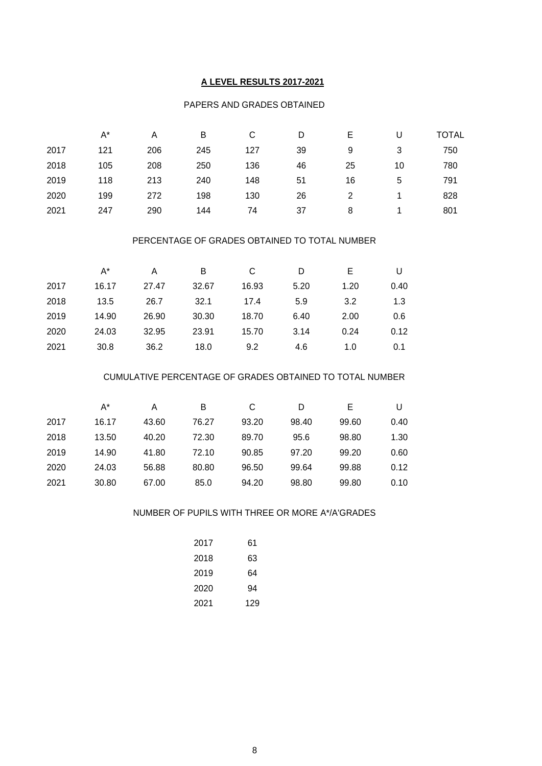## **A LEVEL RESULTS 2017-2021**

#### PAPERS AND GRADES OBTAINED

|      | $A^*$ | Α   | B   | С   | D  |    |    | TOTAL |
|------|-------|-----|-----|-----|----|----|----|-------|
| 2017 | 121   | 206 | 245 | 127 | 39 | 9  | 3  | 750   |
| 2018 | 105   | 208 | 250 | 136 | 46 | 25 | 10 | 780   |
| 2019 | 118   | 213 | 240 | 148 | 51 | 16 | 5  | 791   |
| 2020 | 199   | 272 | 198 | 130 | 26 | 2  |    | 828   |
| 2021 | 247   | 290 | 144 | 74  | 37 | 8  |    | 801   |

#### PERCENTAGE OF GRADES OBTAINED TO TOTAL NUMBER

|      | A*    | Α     | В     | C     | D    | Е    | U    |
|------|-------|-------|-------|-------|------|------|------|
| 2017 | 16.17 | 27.47 | 32.67 | 16.93 | 5.20 | 1.20 | 0.40 |
| 2018 | 13.5  | 26.7  | 32.1  | 17.4  | 5.9  | 3.2  | 1.3  |
| 2019 | 14.90 | 26.90 | 30.30 | 18.70 | 6.40 | 2.00 | 0.6  |
| 2020 | 24.03 | 32.95 | 23.91 | 15.70 | 3.14 | 0.24 | 0.12 |
| 2021 | 30.8  | 36.2  | 18.0  | 9.2   | 4.6  | 1.0  | 0.1  |

## CUMULATIVE PERCENTAGE OF GRADES OBTAINED TO TOTAL NUMBER

|      | A*    | Α     | B     | С     | D     | E     |      |
|------|-------|-------|-------|-------|-------|-------|------|
| 2017 | 16.17 | 43.60 | 76.27 | 93.20 | 98.40 | 99.60 | 0.40 |
| 2018 | 13.50 | 40.20 | 72.30 | 89.70 | 95.6  | 98.80 | 1.30 |
| 2019 | 14.90 | 41.80 | 72.10 | 90.85 | 97.20 | 99.20 | 0.60 |
| 2020 | 24.03 | 56.88 | 80.80 | 96.50 | 99.64 | 99.88 | 0.12 |
| 2021 | 30.80 | 67.00 | 85.0  | 94.20 | 98.80 | 99.80 | 0.10 |

#### NUMBER OF PUPILS WITH THREE OR MORE A\*/A'GRADES

| 2017 | 61  |
|------|-----|
| 2018 | 63  |
| 2019 | 64  |
| 2020 | 94  |
| 2021 | 129 |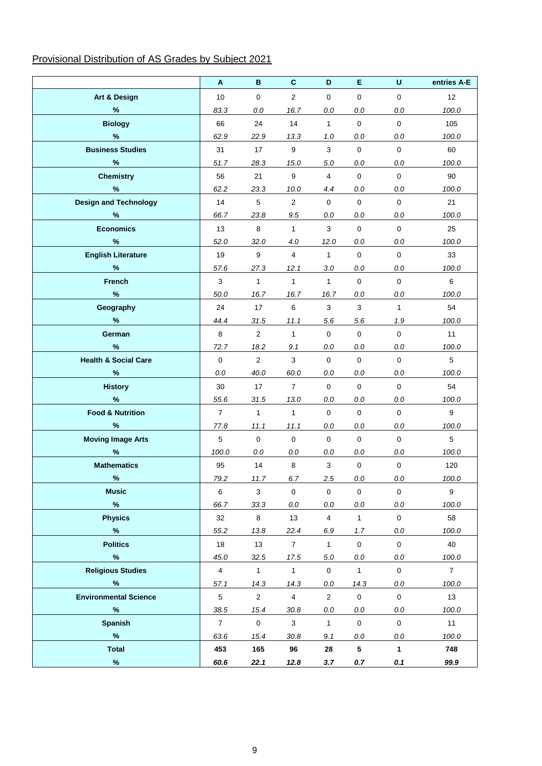# Provisional Distribution of AS Grades by Subject 2021

|                                 | A              | B                   | $\mathbf{C}$     | D                   | E                   | U                   | entries A-E    |
|---------------------------------|----------------|---------------------|------------------|---------------------|---------------------|---------------------|----------------|
| <b>Art &amp; Design</b>         | 10             | $\mathbf 0$         | $\overline{2}$   | $\mathbf 0$         | $\mathbf 0$         | $\mathbf 0$         | 12             |
| $\%$                            | 83.3           | 0.0                 | 16.7             | $0.0\,$             | 0.0                 | $0.0\,$             | 100.0          |
| <b>Biology</b>                  | 66             | 24                  | 14               | 1                   | $\mathbf 0$         | $\mathbf 0$         | 105            |
| %                               | 62.9           | 22.9                | 13.3             | 1.0                 | 0.0                 | 0.0                 | 100.0          |
| <b>Business Studies</b>         | 31             | 17                  | $\boldsymbol{9}$ | 3                   | $\mathbf 0$         | $\mathbf 0$         | 60             |
| $\%$                            | 51.7           | 28.3                | 15.0             | $5.0\,$             | 0.0                 | $0.0\,$             | 100.0          |
| <b>Chemistry</b>                | 56             | 21                  | 9                | $\overline{4}$      | $\mathbf 0$         | $\mathbf 0$         | 90             |
| $\%$                            | 62.2           | 23.3                | 10.0             | 4.4                 | 0.0                 | 0.0                 | 100.0          |
| <b>Design and Technology</b>    | 14             | 5                   | $\overline{2}$   | $\mathbf 0$         | $\mathbf 0$         | $\Omega$            | 21             |
| %                               | 66.7           | 23.8                | 9.5              | 0.0                 | 0.0                 | 0.0                 | 100.0          |
| <b>Economics</b>                | 13             | 8                   | $\mathbf{1}$     | 3                   | $\mathbf 0$         | $\mathbf{0}$        | 25             |
| %                               | 52.0           | 32.0                | 4.0              | 12.0                | 0.0                 | 0.0                 | 100.0          |
| <b>English Literature</b>       | 19             | 9                   | $\overline{4}$   | $\mathbf{1}$        | $\mathbf 0$         | $\mathbf 0$         | 33             |
| $\%$                            | 57.6           | 27.3                | 12.1             | 3.0                 | 0.0                 | $0.0\,$             | 100.0          |
| French                          | 3              | $\mathbf{1}$        | $\mathbf{1}$     | $\mathbf{1}$        | $\mathsf{O}\xspace$ | $\mathbf 0$         | 6              |
| $\%$                            | 50.0           | 16.7                | 16.7             | 16.7                | 0.0                 | $0.0\,$             | 100.0          |
| Geography                       | 24             | 17                  | 6                | $\mathsf 3$         | 3                   | $\mathbf{1}$        | 54             |
| %                               | 44.4           | 31.5                | 11.1             | 5.6                 | 5.6                 | 1.9                 | 100.0          |
| German                          | 8              | $\overline{2}$      | $\mathbf{1}$     | $\pmb{0}$           | $\mathsf{O}\xspace$ | $\mathbf 0$         | 11             |
| %                               | 72.7           | 18.2                | 9.1              | $0.0\,$             | 0.0                 | $0.0\,$             | 100.0          |
| <b>Health &amp; Social Care</b> | $\mathbf{0}$   | $\overline{2}$      | 3                | $\mathbf{0}$        | $\mathbf 0$         | $\mathbf{0}$        | 5              |
| $\%$                            | 0.0            | 40.0                | 60.0             | 0.0                 | 0.0                 | $0.0\,$             | 100.0          |
| <b>History</b>                  | 30             | 17                  | $\overline{7}$   | $\mathbf 0$         | $\mathbf 0$         | $\mathbf 0$         | 54             |
| $\%$                            | 55.6           | 31.5                | 13.0             | 0.0                 | 0.0                 | 0.0                 | 100.0          |
| <b>Food &amp; Nutrition</b>     | $\overline{7}$ | $\mathbf{1}$        | $\mathbf{1}$     | $\mathbf 0$         | $\mathbf 0$         | $\mathbf 0$         | 9              |
| %                               | 77.8           | 11.1                | 11.1             | 0.0                 | 0.0                 | 0.0                 | 100.0          |
| <b>Moving Image Arts</b>        | 5              | $\mathbf 0$         | $\mathbf 0$      | $\mathbf 0$         | $\mathbf 0$         | $\mathbf 0$         | 5              |
| $\%$                            | 100.0          | 0.0                 | 0.0              | 0.0                 | 0.0                 | $0.0\,$             | 100.0          |
| <b>Mathematics</b>              | 95             | 14                  | 8                | $\mathbf{3}$        | $\mathbf 0$         | $\mathbf 0$         | 120            |
| $\frac{0}{0}$                   | 79.2           | 11.7                | 6.7              | 2.5                 | 0.0                 | $0.0\,$             | 100.0          |
| <b>Music</b>                    | 6              | $\mathbf{3}$        | $\mathsf{O}$     | $\mathsf{O}\xspace$ | $\mathsf{O}\xspace$ | $\mathsf 0$         | 9              |
| $\%$                            | 66.7           | 33.3                | $0.0\,$          | 0.0                 | 0.0                 | $0.0\,$             | 100.0          |
| <b>Physics</b>                  | 32             | 8                   | 13               | $\overline{4}$      | $\mathbf{1}$        | $\mathbf 0$         | 58             |
| $\%$                            | 55.2           | 13.8                | 22.4             | 6.9                 | 1.7                 | $0.0\,$             | 100.0          |
| <b>Politics</b>                 | 18             | 13                  | $7^{\circ}$      | $\mathbf{1}$        | $\mathbf 0$         | $\mathbf 0$         | 40             |
| $\%$                            | 45.0           | 32.5                | 17.5             | $5.0\,$             | $0.0\,$             | $0.0\,$             | 100.0          |
| <b>Religious Studies</b>        | $\overline{4}$ | $\mathbf{1}$        | $\mathbf{1}$     | $\mathbf 0$         | $\mathbf{1}$        | $\mathsf{O}\xspace$ | $\overline{7}$ |
| $\%$                            | 57.1           | 14.3                | 14.3             | 0.0                 | 14.3                | $0.0\,$             | 100.0          |
| <b>Environmental Science</b>    | $5\,$          | $\overline{2}$      | $\overline{4}$   | $\overline{2}$      | $\mathbf 0$         | $\mathsf 0$         | 13             |
| $\%$                            | 38.5           | 15.4                | 30.8             | $0.0\,$             | 0.0                 | $0.0\,$             | 100.0          |
| <b>Spanish</b>                  | $\overline{7}$ | $\mathsf{O}\xspace$ | 3                | $\mathbf{1}$        | $\mathbf 0$         | $\mathbf{0}$        | 11             |
| $\%$                            | 63.6           | 15.4                | 30.8             | 9.1                 | 0.0                 | 0.0                 | 100.0          |
| <b>Total</b>                    | 453            | 165                 | 96               | 28                  | $5\phantom{.0}$     | $\mathbf{1}$        | 748            |
| $\%$                            | 60.6           | 22.1                | 12.8             | 3.7                 | 0.7                 | 0.1                 | 99.9           |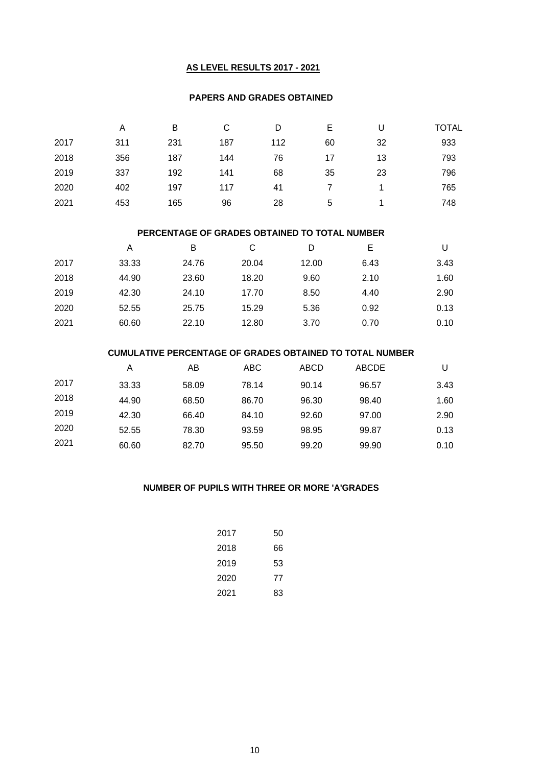## **AS LEVEL RESULTS 2017 - 2021**

#### **PAPERS AND GRADES OBTAINED**

|      | Α   | в   | С   | D   | Е  | U  | <b>TOTAL</b> |
|------|-----|-----|-----|-----|----|----|--------------|
| 2017 | 311 | 231 | 187 | 112 | 60 | 32 | 933          |
| 2018 | 356 | 187 | 144 | 76  | 17 | 13 | 793          |
| 2019 | 337 | 192 | 141 | 68  | 35 | 23 | 796          |
| 2020 | 402 | 197 | 117 | 41  |    |    | 765          |
| 2021 | 453 | 165 | 96  | 28  | 5  |    | 748          |

#### **PERCENTAGE OF GRADES OBTAINED TO TOTAL NUMBER**

|      | A     | в     | С     | D     | Е    | U    |
|------|-------|-------|-------|-------|------|------|
| 2017 | 33.33 | 24.76 | 20.04 | 12.00 | 6.43 | 3.43 |
| 2018 | 44.90 | 23.60 | 18.20 | 9.60  | 2.10 | 1.60 |
| 2019 | 42.30 | 24.10 | 17.70 | 8.50  | 4.40 | 2.90 |
| 2020 | 52.55 | 25.75 | 15.29 | 5.36  | 0.92 | 0.13 |
| 2021 | 60.60 | 22.10 | 12.80 | 3.70  | 0.70 | 0.10 |

#### **CUMULATIVE PERCENTAGE OF GRADES OBTAINED TO TOTAL NUMBER**

|      | Α     | AB    | ABC   | ABCD  | ABCDE |      |
|------|-------|-------|-------|-------|-------|------|
| 2017 | 33.33 | 58.09 | 78.14 | 90.14 | 96.57 | 3.43 |
| 2018 | 44.90 | 68.50 | 86.70 | 96.30 | 98.40 | 1.60 |
| 2019 | 42.30 | 66.40 | 84.10 | 92.60 | 97.00 | 2.90 |
| 2020 | 52.55 | 78.30 | 93.59 | 98.95 | 99.87 | 0.13 |
| 2021 | 60.60 | 82.70 | 95.50 | 99.20 | 99.90 | 0.10 |

#### **NUMBER OF PUPILS WITH THREE OR MORE 'A'GRADES**

| 2017 | 50 |
|------|----|
| 2018 | 66 |
| 2019 | 53 |
| 2020 | 77 |
| 2021 | 83 |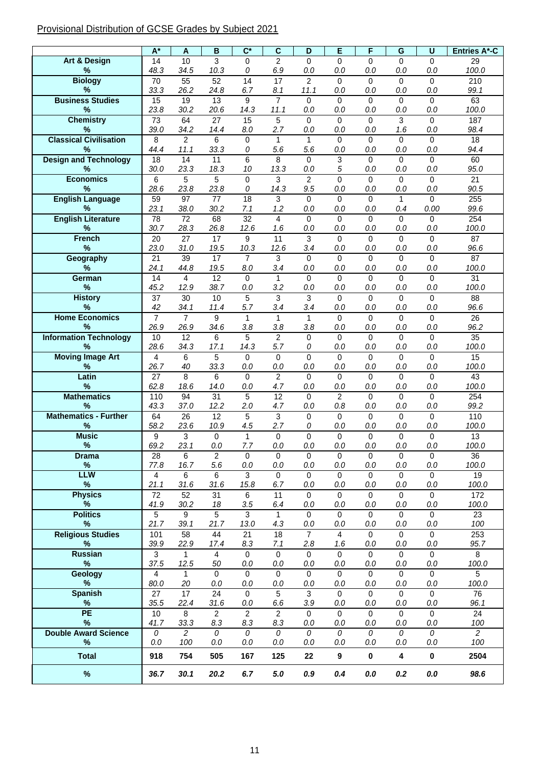# Provisional Distribution of GCSE Grades by Subject 2021

|                                      | $\overline{A^*}$       | A                       | $\overline{B}$          | $\overline{\mathsf{C}^*}$ | $\overline{\mathsf{c}}$ | D                      | E                     | F               | $\overline{G}$     | U                      | <b>Entries A*-C</b>     |
|--------------------------------------|------------------------|-------------------------|-------------------------|---------------------------|-------------------------|------------------------|-----------------------|-----------------|--------------------|------------------------|-------------------------|
| <b>Art &amp; Design</b>              | 14                     | 10                      | 3                       | $\Omega$                  | $\overline{2}$          | $\Omega$               | $\Omega$              | $\Omega$        | 0                  | $\Omega$               | 29                      |
| $\%$                                 | 48.3                   | 34.5                    | 10.3                    | 0                         | 6.9                     | 0.0                    | 0.0                   | 0.0             | 0.0                | 0.0                    | 100.0                   |
| <b>Biology</b><br>$\%$               | 70<br>33.3             | 55<br>26.2              | 52<br>24.8              | 14<br>6.7                 | 17<br>8.1               | $\overline{2}$<br>11.1 | $\Omega$<br>0.0       | $\Omega$<br>0.0 | 0<br>0.0           | $\mathbf 0$<br>0.0     | 210<br>99.1             |
| <b>Business Studies</b>              | 15                     | 19                      | 13                      | 9                         | $\overline{7}$          | 0                      | $\mathbf 0$           | 0               | 0                  | $\mathbf 0$            | 63                      |
| %                                    | 23.8                   | 30.2                    | 20.6                    | 14.3                      | 11.1                    | 0.0                    | 0.0                   | 0.0             | 0.0                | 0.0                    | 100.0                   |
| <b>Chemistry</b>                     | $\overline{73}$        | 64                      | $\overline{27}$         | 15                        | 5                       | $\Omega$               | $\mathbf{0}$          | $\Omega$        | 3                  | $\Omega$               | 187                     |
| %                                    | 39.0                   | 34.2                    | 14.4                    | 8.0                       | 2.7                     | 0.0                    | 0.0                   | 0.0             | 1.6                | 0.0                    | 98.4                    |
| <b>Classical Civilisation</b>        | 8                      | $\overline{c}$          | 6                       | 0                         | 1                       | 1                      | $\mathbf 0$           | $\Omega$        | 0                  | $\Omega$               | $\overline{18}$         |
| %                                    | 44.4                   | 11.1                    | 33.3                    | 0                         | 5.6                     | 5.6                    | 0.0                   | 0.0             | 0.0                | 0.0                    | 94.4                    |
| <b>Design and Technology</b><br>$\%$ | 18<br>30.0             | $\overline{14}$<br>23.3 | 11<br>18.3              | 6<br>10                   | 8<br>13.3               | $\Omega$<br>0.0        | 3<br>5                | $\Omega$<br>0.0 | $\Omega$<br>0.0    | $\Omega$<br>0.0        | 60<br>95.0              |
| <b>Economics</b>                     | 6                      | 5                       | 5                       | 0                         | 3                       | $\overline{2}$         | $\mathbf 0$           | $\Omega$        | 0                  | $\mathbf 0$            | $\overline{21}$         |
| %                                    | 28.6                   | 23.8                    | 23.8                    | 0                         | 14.3                    | 9.5                    | 0.0                   | 0.0             | 0.0                | 0.0                    | 90.5                    |
| <b>English Language</b>              | 59                     | 97                      | $\overline{77}$         | $\overline{18}$           | 3                       | 0                      | $\mathbf 0$           | $\Omega$        | $\mathbf{1}$       | $\Omega$               | 255                     |
| %                                    | 23.1                   | 38.0                    | 30.2                    | 7.1                       | 1.2                     | 0.0                    | 0.0                   | 0.0             | 0.4                | 0.00                   | 99.6                    |
| <b>English Literature</b>            | 78                     | 72                      | 68                      | 32                        | 4                       | 0                      | $\Omega$              | $\Omega$        | 0                  | $\Omega$               | 254                     |
| %                                    | 30.7                   | 28.3                    | 26.8                    | 12.6                      | 1.6                     | 0.0                    | 0.0                   | 0.0             | 0.0                | 0.0                    | 100.0                   |
| <b>French</b><br>$\%$                | 20<br>23.0             | 27<br>31.0              | 17<br>19.5              | 9<br>10.3                 | 11<br>12.6              | 3<br>3.4               | $\mathbf 0$<br>0.0    | $\Omega$<br>0.0 | $\mathbf 0$<br>0.0 | $\Omega$<br>0.0        | 87<br>96.6              |
| Geography                            | 21                     | 39                      | 17                      | $\overline{7}$            | $\mathbf{3}$            | $\mathbf 0$            | $\mathbf 0$           | $\Omega$        | $\mathbf 0$        | $\Omega$               | 87                      |
| %                                    | 24.1                   | 44.8                    | 19.5                    | 8.0                       | 3.4                     | 0.0                    | 0.0                   | 0.0             | 0.0                | 0.0                    | 100.0                   |
| German                               | 14                     | $\overline{\mathbf{A}}$ | $\overline{12}$         | $\Omega$                  | $\mathbf{1}$            | $\Omega$               | $\overline{0}$        | $\Omega$        | 0                  | $\Omega$               | 31                      |
| $\%$                                 | 45.2                   | 12.9                    | 38.7                    | 0.0                       | 3.2                     | 0.0                    | 0.0                   | 0.0             | 0.0                | 0.0                    | 100.0                   |
| <b>History</b>                       | 37                     | 30                      | 10                      | 5                         | 3                       | 3                      | $\Omega$              | $\Omega$        | 0                  | $\Omega$               | 88                      |
| %                                    | 42                     | 34.1                    | 11.4                    | 5.7                       | 3.4                     | 3.4                    | 0.0                   | 0.0             | 0.0                | 0.0                    | 96.6                    |
| <b>Home Economics</b><br>%           | $\overline{7}$<br>26.9 | $\overline{7}$<br>26.9  | 9<br>34.6               | 1<br>3.8                  | $\mathbf{1}$<br>3.8     | $\mathbf{1}$<br>3.8    | $\mathbf 0$<br>0.0    | $\Omega$<br>0.0 | 0<br>0.0           | $\Omega$<br>0.0        | $\overline{26}$<br>96.2 |
| <b>Information Technology</b>        | 10                     | 12                      | 6                       | 5                         | $\overline{2}$          | 0                      | $\mathbf 0$           | $\Omega$        | 0                  | $\Omega$               | $\overline{35}$         |
| $\%$                                 | 28.6                   | 34.3                    | 17.1                    | 14.3                      | 5.7                     | 0                      | 0.0                   | 0.0             | 0.0                | 0.0                    | 100.0                   |
| <b>Moving Image Art</b>              | $\overline{4}$         | 6                       | 5                       | 0                         | $\mathbf 0$             | 0                      | $\mathbf 0$           | $\Omega$        | 0                  | $\Omega$               | 15                      |
| %                                    | 26.7                   | 40                      | 33.3                    | 0.0                       | 0.0                     | 0.0                    | 0.0                   | 0.0             | 0.0                | 0.0                    | 100.0                   |
| Latin                                | $\overline{27}$        | 8                       | 6                       | $\Omega$                  | $\overline{2}$          | $\overline{0}$         | $\mathbf 0$           | $\Omega$        | $\Omega$           | $\Omega$               | 43                      |
| %                                    | 62.8                   | 18.6                    | 14.0                    | 0.0                       | 4.7                     | 0.0                    | 0.0                   | 0.0             | 0.0                | 0.0                    | 100.0                   |
| <b>Mathematics</b><br>$\%$           | 110<br>43.3            | $\overline{94}$<br>37.0 | $\overline{31}$<br>12.2 | 5<br>2.0                  | $\overline{12}$<br>4.7  | 0<br>0.0               | $\overline{2}$<br>0.8 | $\Omega$<br>0.0 | $\mathbf 0$<br>0.0 | $\Omega$<br>0.0        | 254<br>99.2             |
| <b>Mathematics - Further</b>         | 64                     | 26                      | 12                      | 5                         | $\overline{3}$          | 0                      | $\mathbf 0$           | $\Omega$        | $\mathbf 0$        | $\Omega$               | 110                     |
| %                                    | 58.2                   | 23.6                    | 10.9                    | 4.5                       | 2.7                     | 0                      | 0.0                   | 0.0             | 0.0                | 0.0                    | 100.0                   |
| <b>Music</b>                         | 9                      | 3                       | $\mathbf 0$             | $\mathbf{1}$              | $\mathbf 0$             | 0                      | $\mathbf 0$           | 0               | 0                  | $\mathbf 0$            | 13                      |
| $\%$                                 | 69.2                   | 23.1                    | 0.0                     | 7.7                       | 0.0                     | 0.0                    | 0.0                   | 0.0             | 0.0                | 0.0                    | 100.0                   |
| <b>Drama</b>                         | 28                     | 6                       | 2                       | 0                         | 0                       | 0                      | 0                     | 0               | 0                  | 0                      | 36                      |
| $\%$<br><b>LLW</b>                   | 77.8<br>4              | 16.7<br>6               | 5.6<br>6                | $0.0\,$<br>3              | 0.0<br>$\Omega$         | 0.0<br>0               | 0.0<br>0              | 0.0<br>$\Omega$ | 0.0<br>0           | $0.0\,$<br>$\Omega$    | 100.0<br>19             |
| $\%$                                 | 21.1                   | 31.6                    | 31.6                    | 15.8                      | 6.7                     | $0.0$                  | $0.0\,$               | 0.0             | 0.0                | 0.0                    | 100.0                   |
| <b>Physics</b>                       | 72                     | 52                      | 31                      | 6                         | 11                      | $\mathbf 0$            | $\mathbf 0$           | $\Omega$        | $\mathbf 0$        | $\Omega$               | 172                     |
| $\%$                                 | 41.9                   | 30.2                    | 18                      | 3.5                       | 6.4                     | $0.0$                  | $0.0\,$               | 0.0             | 0.0                | $0.0\,$                | 100.0                   |
| <b>Politics</b>                      | 5                      | 9                       | 5                       | $\overline{3}$            | $\mathbf{1}$            | $\Omega$               | $\Omega$              | $\Omega$        | $\Omega$           | $\Omega$               | 23                      |
| %                                    | 21.7                   | 39.1                    | 21.7                    | 13.0                      | 4.3                     | $0.0$                  | $0.0\,$               | $0.0\,$         | 0.0                | $0.0\,$                | 100                     |
| <b>Religious Studies</b><br>$\%$     | 101<br>39.9            | 58<br>22.9              | 44<br>17.4              | 21<br>8.3                 | 18<br>7.1               | $\overline{7}$<br>2.8  | $\overline{4}$<br>1.6 | $\Omega$<br>0.0 | 0<br>0.0           | $\mathbf 0$<br>$0.0\,$ | 253<br>95.7             |
| <b>Russian</b>                       | 3                      | 1                       | $\overline{4}$          | 0                         | $\mathbf 0$             | 0                      | $\Omega$              | $\Omega$        | $\mathbf 0$        | $\Omega$               | 8                       |
| $\%$                                 | 37.5                   | 12.5                    | 50                      | $0.0\,$                   | 0.0                     | 0.0                    | 0.0                   | 0.0             | 0.0                | $0.0\,$                | 100.0                   |
| Geology                              | $\overline{4}$         | 1                       | $\Omega$                | 0                         | $\Omega$                | $\Omega$               | $\Omega$              | $\Omega$        | 0                  | $\Omega$               | 5                       |
| $\%$                                 | 80.0                   | 20                      | $0.0\,$                 | 0.0                       | 0.0                     | $0.0$                  | 0.0                   | 0.0             | 0.0                | $0.0\,$                | 100.0                   |
| <b>Spanish</b>                       | 27                     | 17                      | 24                      | $\Omega$                  | 5                       | 3                      | $\Omega$              | $\Omega$        | $\Omega$           | $\Omega$               | 76                      |
| $\%$<br><b>PE</b>                    | 35.5<br>$10$           | 22.4<br>8               | 31.6<br>2               | 0.0<br>$\overline{2}$     | 6.6<br>$\overline{2}$   | 3.9<br>$\mathbf 0$     | 0.0<br>$\mathbf 0$    | 0.0<br>$\Omega$ | 0.0<br>$\Omega$    | $0.0\,$<br>$\Omega$    | 96.1<br>24              |
| %                                    | 41.7                   | 33.3                    | 8.3                     | 8.3                       | 8.3                     | 0.0                    | 0.0                   | 0.0             | $0.0\,$            | $0.0\,$                | 100                     |
| <b>Double Award Science</b>          | 0                      | $\overline{2}$          | 0                       | $\mathcal{O}$             | 0                       | 0                      | 0                     | $\mathcal{O}$   | 0                  | 0                      | $\overline{2}$          |
| %                                    | 0.0                    | 100                     | 0.0                     | $0.0\,$                   | 0.0                     | $0.0$                  | 0.0                   | 0.0             | 0.0                | $0.0\,$                | 100                     |
| <b>Total</b>                         | 918                    | 754                     | 505                     | 167                       | 125                     | 22                     | 9                     | $\mathbf 0$     | 4                  | $\pmb{0}$              | 2504                    |
|                                      |                        |                         |                         |                           |                         |                        |                       |                 |                    |                        |                         |
| $\%$                                 | 36.7                   | 30.1                    | 20.2                    | 6.7                       | 5.0                     | 0.9                    | 0.4                   | 0.0             | 0.2                | 0.0                    | 98.6                    |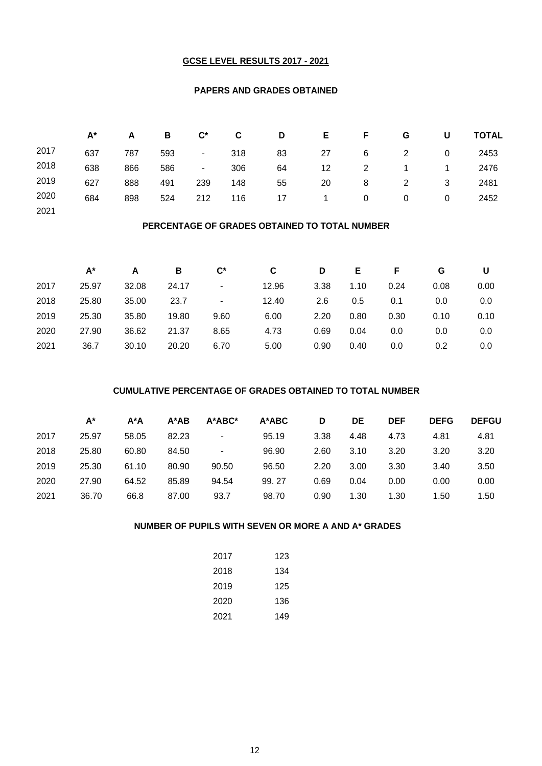#### **GCSE LEVEL RESULTS 2017 - 2021**

#### **PAPERS AND GRADES OBTAINED**

|      | $A^*$ | A   | в   | $\mathbf{C}^*$ | C.  | D  | E. | F.           | G | U        | <b>TOTAL</b> |
|------|-------|-----|-----|----------------|-----|----|----|--------------|---|----------|--------------|
| 2017 | 637   | 787 | 593 | $\sim$         | 318 | 83 | 27 | 6            | 2 | 0        | 2453         |
| 2018 | 638   | 866 | 586 | $\sim$         | 306 | 64 | 12 | 2            |   |          | 2476         |
| 2019 | 627   | 888 | 491 | 239            | 148 | 55 | 20 | 8            | 2 | 3        | 2481         |
| 2020 | 684   | 898 | 524 | 212            | 116 | 17 | 1. | $\mathbf{0}$ | 0 | $\Omega$ | 2452         |
| 2021 |       |     |     |                |     |    |    |              |   |          |              |

## **PERCENTAGE OF GRADES OBTAINED TO TOTAL NUMBER**

|      | A*    | А     | В     | $\mathbf{C}^*$ | C     | D             | Е    |      | G    | U       |
|------|-------|-------|-------|----------------|-------|---------------|------|------|------|---------|
| 2017 | 25.97 | 32.08 | 24.17 | $\blacksquare$ | 12.96 | 3.38          | 1.10 | 0.24 | 0.08 | 0.00    |
| 2018 | 25.80 | 35.00 | 23.7  | $\blacksquare$ | 12.40 | $2.6^{\circ}$ | 0.5  | 0.1  | 0.0  | $0.0\,$ |
| 2019 | 25.30 | 35.80 | 19.80 | 9.60           | 6.00  | 2.20          | 0.80 | 0.30 | 0.10 | 0.10    |
| 2020 | 27.90 | 36.62 | 21.37 | 8.65           | 4.73  | 0.69          | 0.04 | 0.0  | 0.0  | $0.0\,$ |
| 2021 | 36.7  | 30.10 | 20.20 | 6.70           | 5.00  | 0.90          | 0.40 | 0.0  | 0.2  | 0.0     |

#### **CUMULATIVE PERCENTAGE OF GRADES OBTAINED TO TOTAL NUMBER**

|      | A*    | $A^*A$ | A*AB  | A*ABC* | $A^*ABC$ | D    | DE   | <b>DEF</b> | <b>DEFG</b> | <b>DEFGU</b> |
|------|-------|--------|-------|--------|----------|------|------|------------|-------------|--------------|
| 2017 | 25.97 | 58.05  | 82.23 | ۰      | 95.19    | 3.38 | 4.48 | 4.73       | 4.81        | 4.81         |
| 2018 | 25.80 | 60.80  | 84.50 | ۰      | 96.90    | 2.60 | 3.10 | 3.20       | 3.20        | 3.20         |
| 2019 | 25.30 | 61.10  | 80.90 | 90.50  | 96.50    | 2.20 | 3.00 | 3.30       | 3.40        | 3.50         |
| 2020 | 27.90 | 64.52  | 85.89 | 94.54  | 99.27    | 0.69 | 0.04 | 0.00       | 0.00        | 0.00         |
| 2021 | 36.70 | 66.8   | 87.00 | 93.7   | 98.70    | 0.90 | 1.30 | 1.30       | 1.50        | 1.50         |

## **NUMBER OF PUPILS WITH SEVEN OR MORE A AND A\* GRADES**

| 2017 | 123 |
|------|-----|
| 2018 | 134 |
| 2019 | 125 |
| 2020 | 136 |
| 2021 | 149 |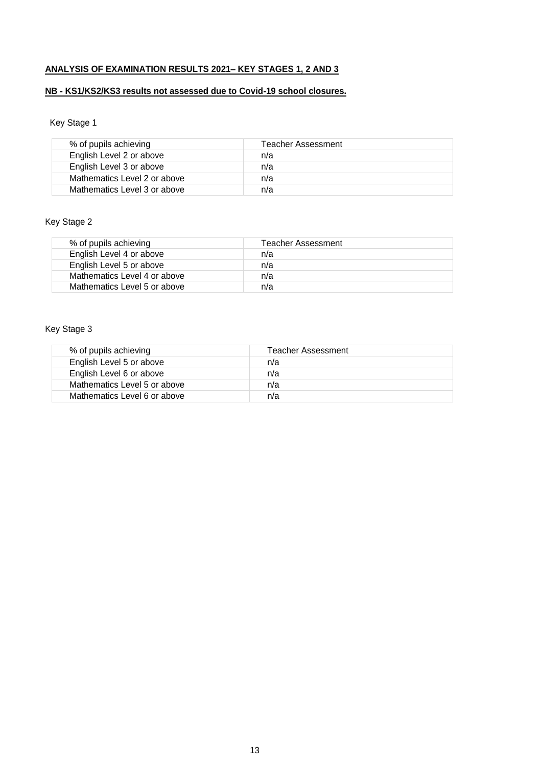# **ANALYSIS OF EXAMINATION RESULTS 2021– KEY STAGES 1, 2 AND 3**

## **NB - KS1/KS2/KS3 results not assessed due to Covid-19 school closures.**

# Key Stage 1

| % of pupils achieving        | Teacher Assessment |
|------------------------------|--------------------|
| English Level 2 or above     | n/a                |
| English Level 3 or above     | n/a                |
| Mathematics Level 2 or above | n/a                |
| Mathematics Level 3 or above | n/a                |

# Key Stage 2

| % of pupils achieving        | Teacher Assessment |
|------------------------------|--------------------|
| English Level 4 or above     | n/a                |
| English Level 5 or above     | n/a                |
| Mathematics Level 4 or above | n/a                |
| Mathematics Level 5 or above | n/a                |

# Key Stage 3

| % of pupils achieving        | Teacher Assessment |
|------------------------------|--------------------|
| English Level 5 or above     | n/a                |
| English Level 6 or above     | n/a                |
| Mathematics Level 5 or above | n/a                |
| Mathematics Level 6 or above | n/a                |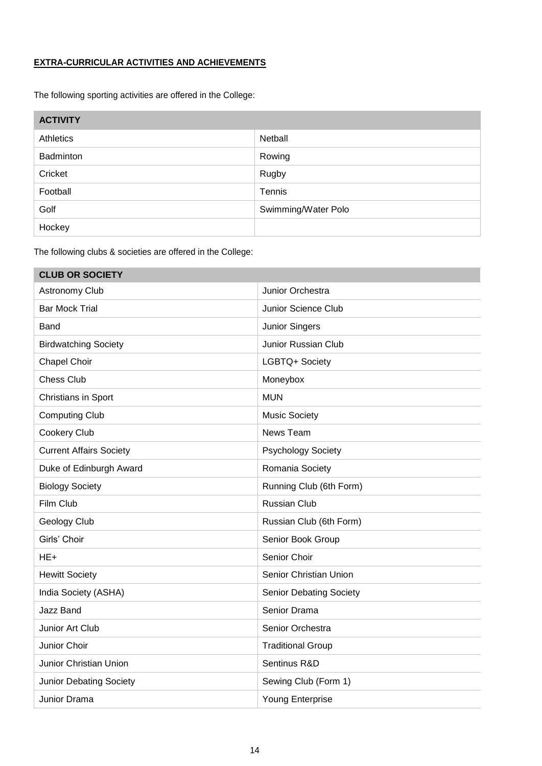## **EXTRA-CURRICULAR ACTIVITIES AND ACHIEVEMENTS**

The following sporting activities are offered in the College:

| <b>ACTIVITY</b> |                     |
|-----------------|---------------------|
| Athletics       | Netball             |
| Badminton       | Rowing              |
| Cricket         | Rugby               |
| Football        | Tennis              |
| Golf            | Swimming/Water Polo |
| Hockey          |                     |

The following clubs & societies are offered in the College:

| <b>CLUB OR SOCIETY</b>         |                                |
|--------------------------------|--------------------------------|
| Astronomy Club                 | Junior Orchestra               |
| <b>Bar Mock Trial</b>          | Junior Science Club            |
| Band                           | Junior Singers                 |
| <b>Birdwatching Society</b>    | Junior Russian Club            |
| Chapel Choir                   | LGBTQ+ Society                 |
| <b>Chess Club</b>              | Moneybox                       |
| Christians in Sport            | <b>MUN</b>                     |
| <b>Computing Club</b>          | <b>Music Society</b>           |
| Cookery Club                   | News Team                      |
| <b>Current Affairs Society</b> | <b>Psychology Society</b>      |
| Duke of Edinburgh Award        | Romania Society                |
| <b>Biology Society</b>         | Running Club (6th Form)        |
| Film Club                      | <b>Russian Club</b>            |
| Geology Club                   | Russian Club (6th Form)        |
| Girls' Choir                   | Senior Book Group              |
| $HE+$                          | Senior Choir                   |
| <b>Hewitt Society</b>          | Senior Christian Union         |
| India Society (ASHA)           | <b>Senior Debating Society</b> |
| Jazz Band                      | Senior Drama                   |
| Junior Art Club                | Senior Orchestra               |
| Junior Choir                   | <b>Traditional Group</b>       |
| Junior Christian Union         | Sentinus R&D                   |
| <b>Junior Debating Society</b> | Sewing Club (Form 1)           |
| Junior Drama                   | Young Enterprise               |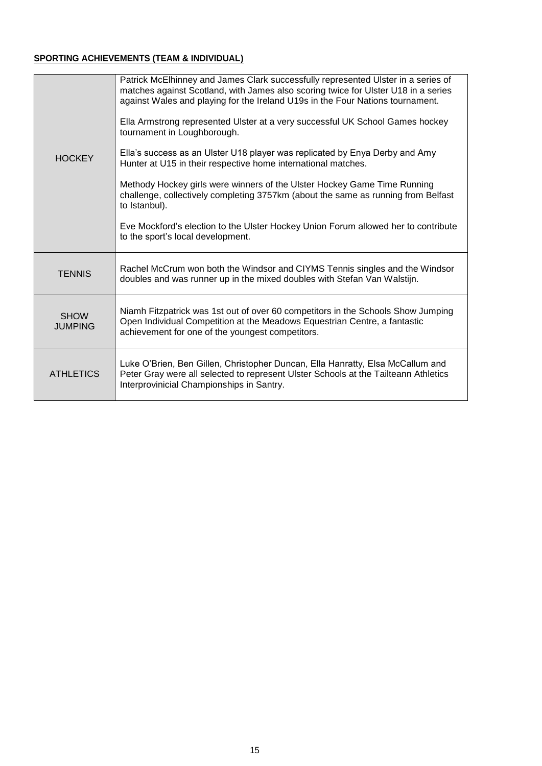## **SPORTING ACHIEVEMENTS (TEAM & INDIVIDUAL)**

| <b>HOCKEY</b>                 | Patrick McElhinney and James Clark successfully represented Ulster in a series of<br>matches against Scotland, with James also scoring twice for Ulster U18 in a series<br>against Wales and playing for the Ireland U19s in the Four Nations tournament.<br>Ella Armstrong represented Ulster at a very successful UK School Games hockey<br>tournament in Loughborough.<br>Ella's success as an Ulster U18 player was replicated by Enya Derby and Amy<br>Hunter at U15 in their respective home international matches.<br>Methody Hockey girls were winners of the Ulster Hockey Game Time Running<br>challenge, collectively completing 3757km (about the same as running from Belfast<br>to Istanbul).<br>Eve Mockford's election to the Ulster Hockey Union Forum allowed her to contribute<br>to the sport's local development. |
|-------------------------------|----------------------------------------------------------------------------------------------------------------------------------------------------------------------------------------------------------------------------------------------------------------------------------------------------------------------------------------------------------------------------------------------------------------------------------------------------------------------------------------------------------------------------------------------------------------------------------------------------------------------------------------------------------------------------------------------------------------------------------------------------------------------------------------------------------------------------------------|
| <b>TENNIS</b>                 | Rachel McCrum won both the Windsor and CIYMS Tennis singles and the Windsor<br>doubles and was runner up in the mixed doubles with Stefan Van Walstijn.                                                                                                                                                                                                                                                                                                                                                                                                                                                                                                                                                                                                                                                                                |
| <b>SHOW</b><br><b>JUMPING</b> | Niamh Fitzpatrick was 1st out of over 60 competitors in the Schools Show Jumping<br>Open Individual Competition at the Meadows Equestrian Centre, a fantastic<br>achievement for one of the youngest competitors.                                                                                                                                                                                                                                                                                                                                                                                                                                                                                                                                                                                                                      |
| <b>ATHLETICS</b>              | Luke O'Brien, Ben Gillen, Christopher Duncan, Ella Hanratty, Elsa McCallum and<br>Peter Gray were all selected to represent Ulster Schools at the Tailteann Athletics<br>Interprovinicial Championships in Santry.                                                                                                                                                                                                                                                                                                                                                                                                                                                                                                                                                                                                                     |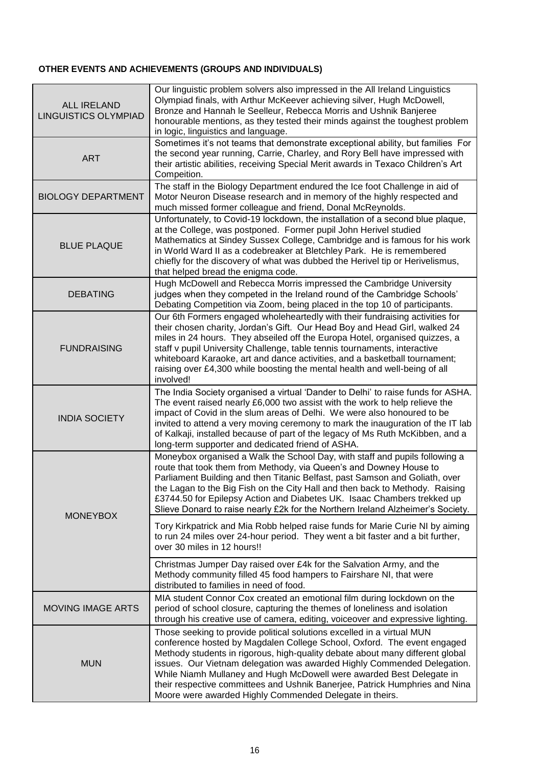# **OTHER EVENTS AND ACHIEVEMENTS (GROUPS AND INDIVIDUALS)**

| <b>ALL IRELAND</b><br><b>LINGUISTICS OLYMPIAD</b> | Our linguistic problem solvers also impressed in the All Ireland Linguistics<br>Olympiad finals, with Arthur McKeever achieving silver, Hugh McDowell,<br>Bronze and Hannah le Seelleur, Rebecca Morris and Ushnik Banjeree<br>honourable mentions, as they tested their minds against the toughest problem<br>in logic, linguistics and language.                                                                                                                                                                              |
|---------------------------------------------------|---------------------------------------------------------------------------------------------------------------------------------------------------------------------------------------------------------------------------------------------------------------------------------------------------------------------------------------------------------------------------------------------------------------------------------------------------------------------------------------------------------------------------------|
| <b>ART</b>                                        | Sometimes it's not teams that demonstrate exceptional ability, but families For<br>the second year running, Carrie, Charley, and Rory Bell have impressed with<br>their artistic abilities, receiving Special Merit awards in Texaco Children's Art<br>Compeition.                                                                                                                                                                                                                                                              |
| <b>BIOLOGY DEPARTMENT</b>                         | The staff in the Biology Department endured the Ice foot Challenge in aid of<br>Motor Neuron Disease research and in memory of the highly respected and<br>much missed former colleague and friend, Donal McReynolds.                                                                                                                                                                                                                                                                                                           |
| <b>BLUE PLAQUE</b>                                | Unfortunately, to Covid-19 lockdown, the installation of a second blue plaque,<br>at the College, was postponed. Former pupil John Herivel studied<br>Mathematics at Sindey Sussex College, Cambridge and is famous for his work<br>in World Ward II as a codebreaker at Bletchley Park. He is remembered<br>chiefly for the discovery of what was dubbed the Herivel tip or Herivelismus,<br>that helped bread the enigma code.                                                                                                |
| <b>DEBATING</b>                                   | Hugh McDowell and Rebecca Morris impressed the Cambridge University<br>judges when they competed in the Ireland round of the Cambridge Schools'<br>Debating Competition via Zoom, being placed in the top 10 of participants.                                                                                                                                                                                                                                                                                                   |
| <b>FUNDRAISING</b>                                | Our 6th Formers engaged wholeheartedly with their fundraising activities for<br>their chosen charity, Jordan's Gift. Our Head Boy and Head Girl, walked 24<br>miles in 24 hours. They abseiled off the Europa Hotel, organised quizzes, a<br>staff v pupil University Challenge, table tennis tournaments, interactive<br>whiteboard Karaoke, art and dance activities, and a basketball tournament;<br>raising over £4,300 while boosting the mental health and well-being of all<br>involved!                                 |
| <b>INDIA SOCIETY</b>                              | The India Society organised a virtual 'Dander to Delhi' to raise funds for ASHA.<br>The event raised nearly £6,000 two assist with the work to help relieve the<br>impact of Covid in the slum areas of Delhi. We were also honoured to be<br>invited to attend a very moving ceremony to mark the inauguration of the IT lab<br>of Kalkaji, installed because of part of the legacy of Ms Ruth McKibben, and a<br>long-term supporter and dedicated friend of ASHA.                                                            |
| <b>MONEYBOX</b>                                   | Moneybox organised a Walk the School Day, with staff and pupils following a<br>route that took them from Methody, via Queen's and Downey House to<br>Parliament Building and then Titanic Belfast, past Samson and Goliath, over<br>the Lagan to the Big Fish on the City Hall and then back to Methody. Raising<br>£3744.50 for Epilepsy Action and Diabetes UK. Isaac Chambers trekked up<br>Slieve Donard to raise nearly £2k for the Northern Ireland Alzheimer's Society.                                                  |
|                                                   | Tory Kirkpatrick and Mia Robb helped raise funds for Marie Curie NI by aiming<br>to run 24 miles over 24-hour period. They went a bit faster and a bit further,<br>over 30 miles in 12 hours!!                                                                                                                                                                                                                                                                                                                                  |
|                                                   | Christmas Jumper Day raised over £4k for the Salvation Army, and the<br>Methody community filled 45 food hampers to Fairshare NI, that were<br>distributed to families in need of food.                                                                                                                                                                                                                                                                                                                                         |
| <b>MOVING IMAGE ARTS</b>                          | MIA student Connor Cox created an emotional film during lockdown on the<br>period of school closure, capturing the themes of loneliness and isolation<br>through his creative use of camera, editing, voiceover and expressive lighting.                                                                                                                                                                                                                                                                                        |
| <b>MUN</b>                                        | Those seeking to provide political solutions excelled in a virtual MUN<br>conference hosted by Magdalen College School, Oxford. The event engaged<br>Methody students in rigorous, high-quality debate about many different global<br>issues. Our Vietnam delegation was awarded Highly Commended Delegation.<br>While Niamh Mullaney and Hugh McDowell were awarded Best Delegate in<br>their respective committees and Ushnik Banerjee, Patrick Humphries and Nina<br>Moore were awarded Highly Commended Delegate in theirs. |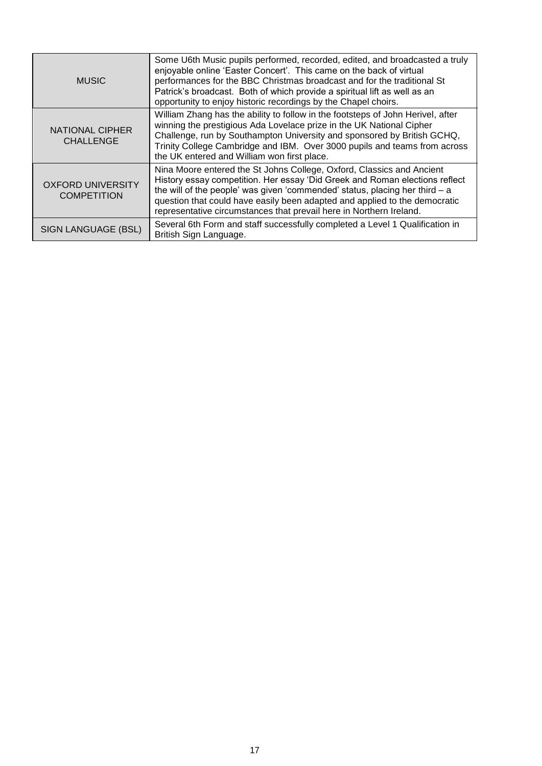| <b>MUSIC</b>                                   | Some U6th Music pupils performed, recorded, edited, and broadcasted a truly<br>enjoyable online 'Easter Concert'. This came on the back of virtual<br>performances for the BBC Christmas broadcast and for the traditional St<br>Patrick's broadcast. Both of which provide a spiritual lift as well as an<br>opportunity to enjoy historic recordings by the Chapel choirs.               |
|------------------------------------------------|--------------------------------------------------------------------------------------------------------------------------------------------------------------------------------------------------------------------------------------------------------------------------------------------------------------------------------------------------------------------------------------------|
| <b>NATIONAL CIPHER</b><br><b>CHALLENGE</b>     | William Zhang has the ability to follow in the footsteps of John Herivel, after<br>winning the prestigious Ada Lovelace prize in the UK National Cipher<br>Challenge, run by Southampton University and sponsored by British GCHQ,<br>Trinity College Cambridge and IBM. Over 3000 pupils and teams from across<br>the UK entered and William won first place.                             |
| <b>OXFORD UNIVERSITY</b><br><b>COMPETITION</b> | Nina Moore entered the St Johns College, Oxford, Classics and Ancient<br>History essay competition. Her essay 'Did Greek and Roman elections reflect<br>the will of the people' was given 'commended' status, placing her third $-$ a<br>question that could have easily been adapted and applied to the democratic<br>representative circumstances that prevail here in Northern Ireland. |
| SIGN LANGUAGE (BSL)                            | Several 6th Form and staff successfully completed a Level 1 Qualification in<br>British Sign Language.                                                                                                                                                                                                                                                                                     |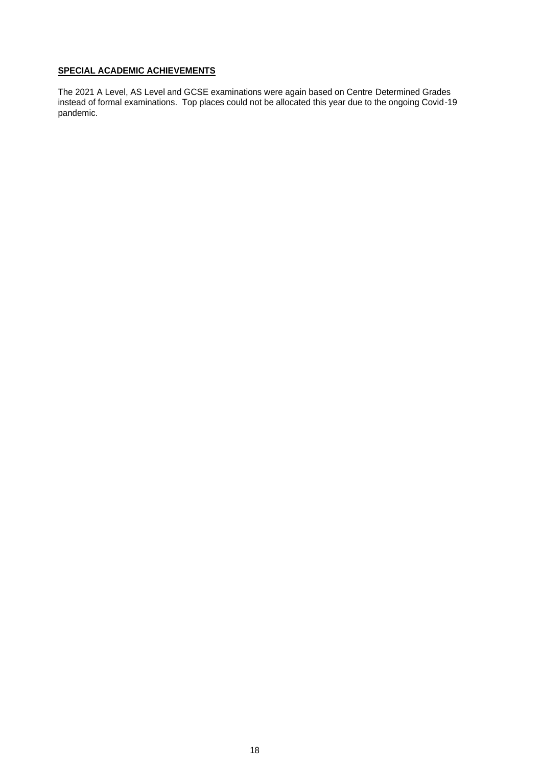## **SPECIAL ACADEMIC ACHIEVEMENTS**

The 2021 A Level, AS Level and GCSE examinations were again based on Centre Determined Grades instead of formal examinations. Top places could not be allocated this year due to the ongoing Covid-19 pandemic.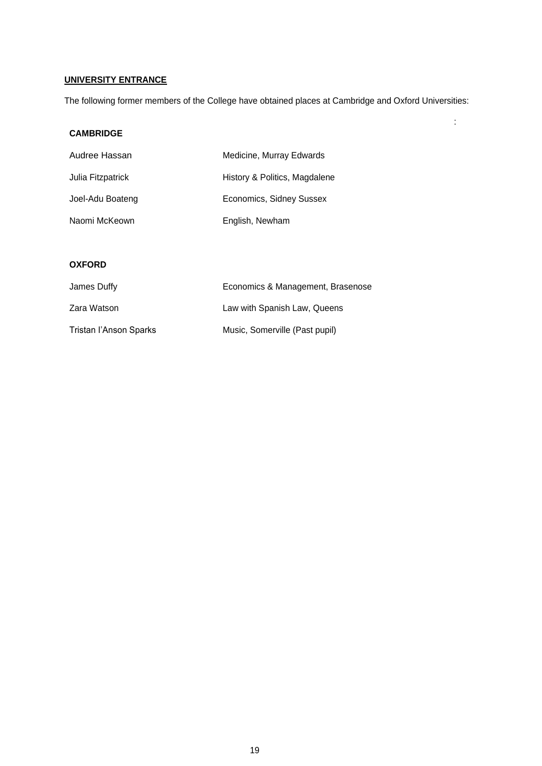# **UNIVERSITY ENTRANCE**

The following former members of the College have obtained places at Cambridge and Oxford Universities:

:

## **CAMBRIDGE**

| Audree Hassan     | Medicine, Murray Edwards      |  |
|-------------------|-------------------------------|--|
| Julia Fitzpatrick | History & Politics, Magdalene |  |
| Joel-Adu Boateng  | Economics, Sidney Sussex      |  |
| Naomi McKeown     | English, Newham               |  |

#### **OXFORD**

| James Duffy            | Economics & Management, Brasenose |  |
|------------------------|-----------------------------------|--|
| Zara Watson            | Law with Spanish Law, Queens      |  |
| Tristan l'Anson Sparks | Music, Somerville (Past pupil)    |  |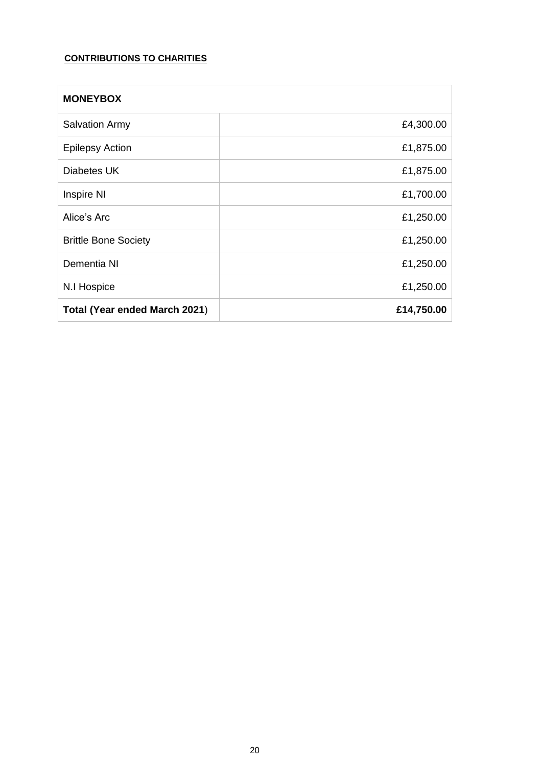# **CONTRIBUTIONS TO CHARITIES**

| <b>MONEYBOX</b>               |            |
|-------------------------------|------------|
| <b>Salvation Army</b>         | £4,300.00  |
| <b>Epilepsy Action</b>        | £1,875.00  |
| Diabetes UK                   | £1,875.00  |
| Inspire NI                    | £1,700.00  |
| Alice's Arc                   | £1,250.00  |
| <b>Brittle Bone Society</b>   | £1,250.00  |
| Dementia NI                   | £1,250.00  |
| N.I Hospice                   | £1,250.00  |
| Total (Year ended March 2021) | £14,750.00 |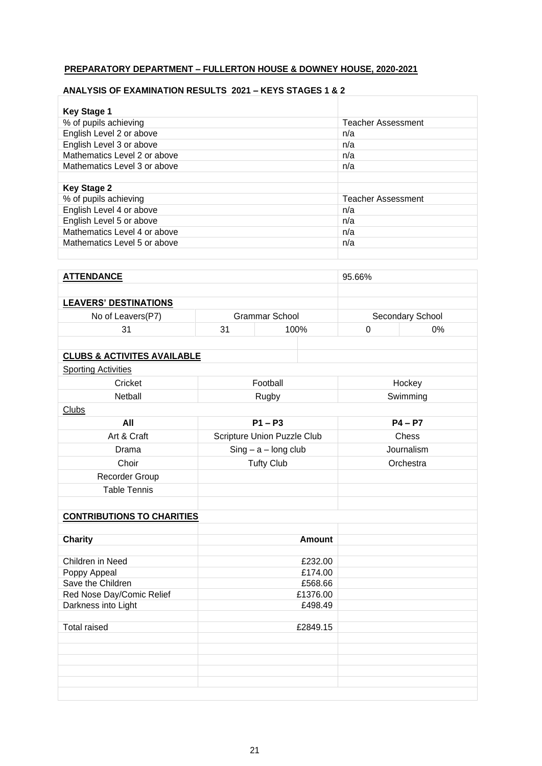## **PREPARATORY DEPARTMENT – FULLERTON HOUSE & DOWNEY HOUSE, 2020-2021**

## **ANALYSIS OF EXAMINATION RESULTS 2021 – KEYS STAGES 1 & 2**

| <b>Key Stage 1</b>           |                           |
|------------------------------|---------------------------|
| % of pupils achieving        | <b>Teacher Assessment</b> |
| English Level 2 or above     | n/a                       |
| English Level 3 or above     | n/a                       |
| Mathematics Level 2 or above | n/a                       |
| Mathematics Level 3 or above | n/a                       |
|                              |                           |
| <b>Key Stage 2</b>           |                           |
| % of pupils achieving        | <b>Teacher Assessment</b> |
| English Level 4 or above     | n/a                       |
| English Level 5 or above     | n/a                       |
| Mathematics Level 4 or above | n/a                       |
| Mathematics Level 5 or above | n/a                       |
|                              |                           |

| <b>ATTENDANCE</b>            |                | 95.66% |                  |       |
|------------------------------|----------------|--------|------------------|-------|
|                              |                |        |                  |       |
| <b>LEAVERS' DESTINATIONS</b> |                |        |                  |       |
| No of Leavers(P7)            | Grammar School |        | Secondary School |       |
| 31                           | 31             | 100%   |                  | $0\%$ |
|                              |                |        |                  |       |

## **CLUBS & ACTIVITES AVAILABLE**

| <b>Sporting Activities</b> |  |
|----------------------------|--|
|                            |  |

| Cricket                           | Football                    | Hockey     |
|-----------------------------------|-----------------------------|------------|
| Netball                           | Rugby                       | Swimming   |
| <b>Clubs</b>                      |                             |            |
| All                               | $P1 - P3$                   | $P4 - P7$  |
| Art & Craft                       | Scripture Union Puzzle Club | Chess      |
| Drama                             | $Sing - a - long club$      | Journalism |
| Choir                             | <b>Tufty Club</b>           | Orchestra  |
| Recorder Group                    |                             |            |
| <b>Table Tennis</b>               |                             |            |
|                                   |                             |            |
| <b>CONTRIBUTIONS TO CHARITIES</b> |                             |            |
|                                   |                             |            |
| <b>Charity</b>                    | <b>Amount</b>               |            |
|                                   |                             |            |
| Children in Need                  | £232.00                     |            |
| Poppy Appeal                      | £174.00                     |            |
| Save the Children                 | £568.66                     |            |
| Red Nose Day/Comic Relief         | £1376.00                    |            |
| Darkness into Light               | £498.49                     |            |
|                                   |                             |            |
| <b>Total raised</b>               | £2849.15                    |            |
|                                   |                             |            |
|                                   |                             |            |
|                                   |                             |            |
|                                   |                             |            |
|                                   |                             |            |
|                                   |                             |            |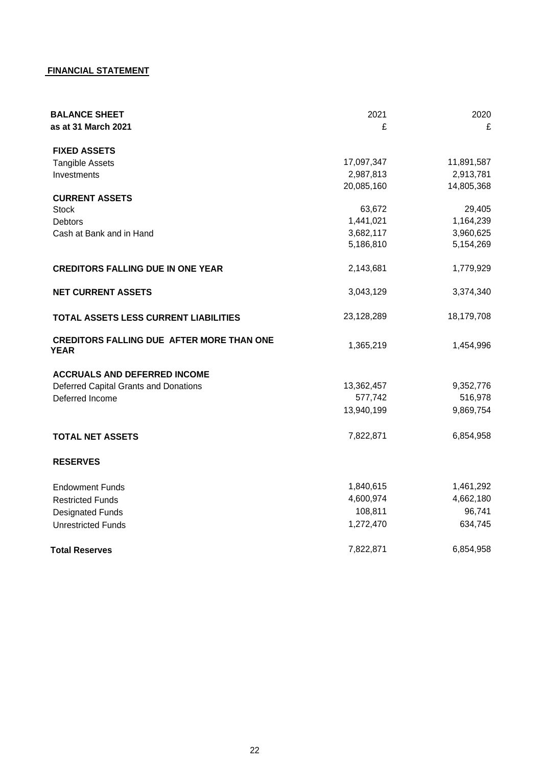# **FINANCIAL STATEMENT**

| <b>BALANCE SHEET</b><br>as at 31 March 2021              | 2021<br>£  | 2020<br>£  |
|----------------------------------------------------------|------------|------------|
| <b>FIXED ASSETS</b>                                      |            |            |
| <b>Tangible Assets</b>                                   | 17,097,347 | 11,891,587 |
| Investments                                              | 2,987,813  | 2,913,781  |
|                                                          | 20,085,160 | 14,805,368 |
| <b>CURRENT ASSETS</b>                                    |            |            |
| <b>Stock</b>                                             | 63,672     | 29,405     |
| <b>Debtors</b>                                           | 1,441,021  | 1,164,239  |
| Cash at Bank and in Hand                                 | 3,682,117  | 3,960,625  |
|                                                          | 5,186,810  | 5,154,269  |
| <b>CREDITORS FALLING DUE IN ONE YEAR</b>                 | 2,143,681  | 1,779,929  |
| <b>NET CURRENT ASSETS</b>                                | 3,043,129  | 3,374,340  |
| TOTAL ASSETS LESS CURRENT LIABILITIES                    | 23,128,289 | 18,179,708 |
| <b>CREDITORS FALLING DUE AFTER MORE THAN ONE</b><br>YEAR | 1,365,219  | 1,454,996  |
| <b>ACCRUALS AND DEFERRED INCOME</b>                      |            |            |
| Deferred Capital Grants and Donations                    | 13,362,457 | 9,352,776  |
| Deferred Income                                          | 577,742    | 516,978    |
|                                                          | 13,940,199 | 9,869,754  |
| <b>TOTAL NET ASSETS</b>                                  | 7,822,871  | 6,854,958  |
| <b>RESERVES</b>                                          |            |            |
| <b>Endowment Funds</b>                                   | 1,840,615  | 1,461,292  |
| <b>Restricted Funds</b>                                  | 4,600,974  | 4,662,180  |
| <b>Designated Funds</b>                                  | 108,811    | 96,741     |
| <b>Unrestricted Funds</b>                                | 1,272,470  | 634,745    |
| <b>Total Reserves</b>                                    | 7,822,871  | 6,854,958  |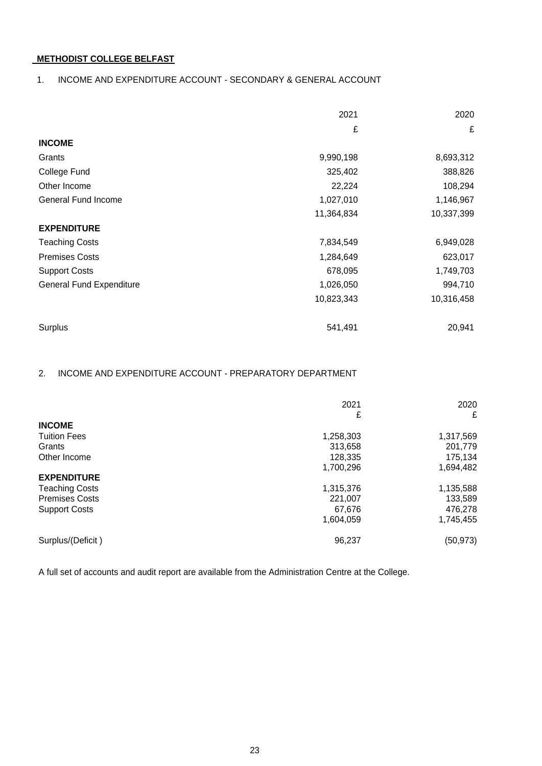## **METHODIST COLLEGE BELFAST**

## 1. INCOME AND EXPENDITURE ACCOUNT - SECONDARY & GENERAL ACCOUNT

|                                 | 2021       | 2020       |
|---------------------------------|------------|------------|
|                                 | £          | £          |
| <b>INCOME</b>                   |            |            |
| Grants                          | 9,990,198  | 8,693,312  |
| College Fund                    | 325,402    | 388,826    |
| Other Income                    | 22,224     | 108,294    |
| General Fund Income             | 1,027,010  | 1,146,967  |
|                                 | 11,364,834 | 10,337,399 |
| <b>EXPENDITURE</b>              |            |            |
| <b>Teaching Costs</b>           | 7,834,549  | 6,949,028  |
| <b>Premises Costs</b>           | 1,284,649  | 623,017    |
| <b>Support Costs</b>            | 678,095    | 1,749,703  |
| <b>General Fund Expenditure</b> | 1,026,050  | 994,710    |
|                                 | 10,823,343 | 10,316,458 |
| Surplus                         | 541,491    | 20,941     |

## 2. INCOME AND EXPENDITURE ACCOUNT - PREPARATORY DEPARTMENT

|                       | 2021      | 2020      |
|-----------------------|-----------|-----------|
|                       | £         | £         |
| <b>INCOME</b>         |           |           |
| <b>Tuition Fees</b>   | 1,258,303 | 1,317,569 |
| Grants                | 313,658   | 201,779   |
| Other Income          | 128,335   | 175,134   |
|                       | 1,700,296 | 1,694,482 |
| <b>EXPENDITURE</b>    |           |           |
| <b>Teaching Costs</b> | 1,315,376 | 1,135,588 |
| <b>Premises Costs</b> | 221,007   | 133,589   |
| <b>Support Costs</b>  | 67,676    | 476,278   |
|                       | 1.604.059 | 1,745,455 |
| Surplus/(Deficit)     | 96,237    | (50, 973) |

A full set of accounts and audit report are available from the Administration Centre at the College.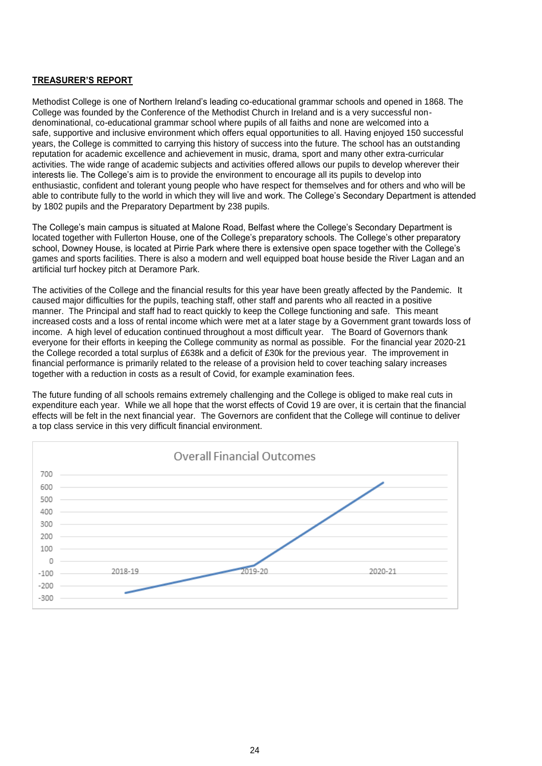#### **TREASURER'S REPORT**

Methodist College is one of Northern Ireland's leading co-educational grammar schools and opened in 1868. The College was founded by the Conference of the Methodist Church in Ireland and is a very successful nondenominational, co-educational grammar school where pupils of all faiths and none are welcomed into a safe, supportive and inclusive environment which offers equal opportunities to all. Having enjoyed 150 successful years, the College is committed to carrying this history of success into the future. The school has an outstanding reputation for academic excellence and achievement in music, drama, sport and many other extra-curricular activities. The wide range of academic subjects and activities offered allows our pupils to develop wherever their interests lie. The College's aim is to provide the environment to encourage all its pupils to develop into enthusiastic, confident and tolerant young people who have respect for themselves and for others and who will be able to contribute fully to the world in which they will live and work. The College's Secondary Department is attended by 1802 pupils and the Preparatory Department by 238 pupils.

The College's main campus is situated at Malone Road, Belfast where the College's Secondary Department is located together with Fullerton House, one of the College's preparatory schools. The College's other preparatory school, Downey House, is located at Pirrie Park where there is extensive open space together with the College's games and sports facilities. There is also a modern and well equipped boat house beside the River Lagan and an artificial turf hockey pitch at Deramore Park.

The activities of the College and the financial results for this year have been greatly affected by the Pandemic. It caused major difficulties for the pupils, teaching staff, other staff and parents who all reacted in a positive manner. The Principal and staff had to react quickly to keep the College functioning and safe. This meant increased costs and a loss of rental income which were met at a later stage by a Government grant towards loss of income. A high level of education continued throughout a most difficult year. The Board of Governors thank everyone for their efforts in keeping the College community as normal as possible. For the financial year 2020-21 the College recorded a total surplus of £638k and a deficit of £30k for the previous year. The improvement in financial performance is primarily related to the release of a provision held to cover teaching salary increases together with a reduction in costs as a result of Covid, for example examination fees.

The future funding of all schools remains extremely challenging and the College is obliged to make real cuts in expenditure each year. While we all hope that the worst effects of Covid 19 are over, it is certain that the financial effects will be felt in the next financial year. The Governors are confident that the College will continue to deliver a top class service in this very difficult financial environment.

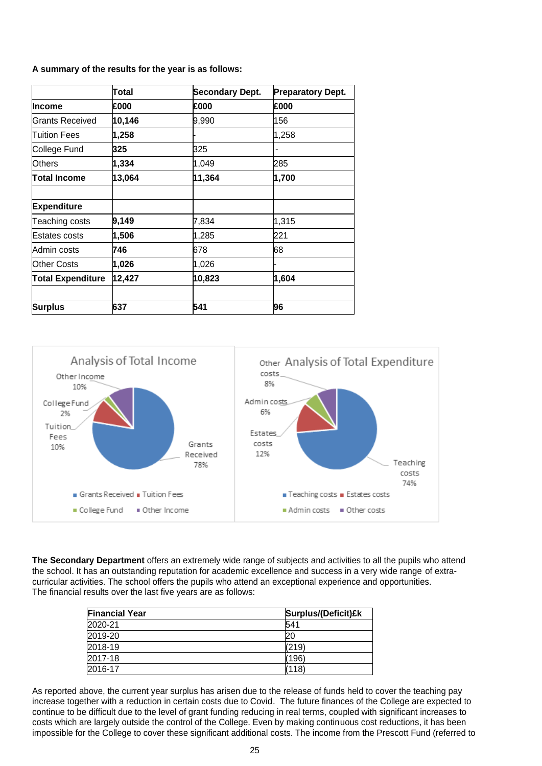#### **A summary of the results for the year is as follows:**

|                          | Total  | <b>Secondary Dept.</b> | <b>Preparatory Dept.</b> |
|--------------------------|--------|------------------------|--------------------------|
| Income                   | £000   | £000                   | £000                     |
| Grants Received          | 10,146 | 9,990                  | 156                      |
| Tuition Fees             | 1,258  |                        | 1,258                    |
| College Fund             | 325    | 325                    |                          |
| Others                   | 1,334  | 1,049                  | 285                      |
| Total Income             | 13,064 | 11,364                 | 1,700                    |
|                          |        |                        |                          |
| <b>Expenditure</b>       |        |                        |                          |
| Teaching costs           | 9,149  | 7,834                  | 1,315                    |
| Estates costs            | 1,506  | 1,285                  | 221                      |
| Admin costs              | 746    | 678                    | 68                       |
| <b>Other Costs</b>       | 1,026  | 1,026                  |                          |
| <b>Total Expenditure</b> | 12,427 | 10,823                 | 1,604                    |
|                          |        |                        |                          |
| <b>Surplus</b>           | 637    | 541                    | 96                       |



**The Secondary Department** offers an extremely wide range of subjects and activities to all the pupils who attend the school. It has an outstanding reputation for academic excellence and success in a very wide range of extracurricular activities. The school offers the pupils who attend an exceptional experience and opportunities. The financial results over the last five years are as follows:

| <b>Financial Year</b> | Surplus/(Deficit)£k |
|-----------------------|---------------------|
| 2020-21               | 541                 |
| 2019-20               | 20                  |
| 2018-19               | (219)               |
| 2017-18               | 196                 |
| 2016-17               | (118)               |

As reported above, the current year surplus has arisen due to the release of funds held to cover the teaching pay increase together with a reduction in certain costs due to Covid. The future finances of the College are expected to continue to be difficult due to the level of grant funding reducing in real terms, coupled with significant increases to costs which are largely outside the control of the College. Even by making continuous cost reductions, it has been impossible for the College to cover these significant additional costs. The income from the Prescott Fund (referred to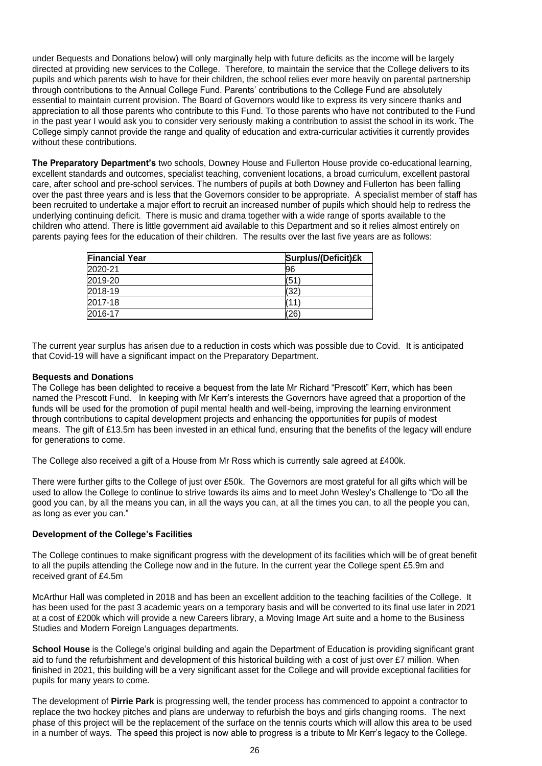under Bequests and Donations below) will only marginally help with future deficits as the income will be largely directed at providing new services to the College. Therefore, to maintain the service that the College delivers to its pupils and which parents wish to have for their children, the school relies ever more heavily on parental partnership through contributions to the Annual College Fund. Parents' contributions to the College Fund are absolutely essential to maintain current provision. The Board of Governors would like to express its very sincere thanks and appreciation to all those parents who contribute to this Fund. To those parents who have not contributed to the Fund in the past year I would ask you to consider very seriously making a contribution to assist the school in its work. The College simply cannot provide the range and quality of education and extra-curricular activities it currently provides without these contributions.

**The Preparatory Department's** two schools, Downey House and Fullerton House provide co-educational learning, excellent standards and outcomes, specialist teaching, convenient locations, a broad curriculum, excellent pastoral care, after school and pre-school services. The numbers of pupils at both Downey and Fullerton has been falling over the past three years and is less that the Governors consider to be appropriate. A specialist member of staff has been recruited to undertake a major effort to recruit an increased number of pupils which should help to redress the underlying continuing deficit. There is music and drama together with a wide range of sports available to the children who attend. There is little government aid available to this Department and so it relies almost entirely on parents paying fees for the education of their children. The results over the last five years are as follows:

| <b>Financial Year</b> | Surplus/(Deficit)£k |
|-----------------------|---------------------|
| 2020-21               | 196                 |
| 2019-20               | (51                 |
| 2018-19               | (32                 |
| 2017-18               |                     |
| 2016-17               | 26                  |

The current year surplus has arisen due to a reduction in costs which was possible due to Covid. It is anticipated that Covid-19 will have a significant impact on the Preparatory Department.

#### **Bequests and Donations**

The College has been delighted to receive a bequest from the late Mr Richard "Prescott" Kerr, which has been named the Prescott Fund. In keeping with Mr Kerr's interests the Governors have agreed that a proportion of the funds will be used for the promotion of pupil mental health and well-being, improving the learning environment through contributions to capital development projects and enhancing the opportunities for pupils of modest means. The gift of £13.5m has been invested in an ethical fund, ensuring that the benefits of the legacy will endure for generations to come.

The College also received a gift of a House from Mr Ross which is currently sale agreed at £400k.

There were further gifts to the College of just over £50k. The Governors are most grateful for all gifts which will be used to allow the College to continue to strive towards its aims and to meet John Wesley's Challenge to "Do all the good you can, by all the means you can, in all the ways you can, at all the times you can, to all the people you can, as long as ever you can."

#### **Development of the College's Facilities**

The College continues to make significant progress with the development of its facilities which will be of great benefit to all the pupils attending the College now and in the future. In the current year the College spent £5.9m and received grant of £4.5m

McArthur Hall was completed in 2018 and has been an excellent addition to the teaching facilities of the College. It has been used for the past 3 academic years on a temporary basis and will be converted to its final use later in 2021 at a cost of £200k which will provide a new Careers library, a Moving Image Art suite and a home to the Business Studies and Modern Foreign Languages departments.

**School House** is the College's original building and again the Department of Education is providing significant grant aid to fund the refurbishment and development of this historical building with a cost of just over £7 million. When finished in 2021, this building will be a very significant asset for the College and will provide exceptional facilities for pupils for many years to come.

The development of **Pirrie Park** is progressing well, the tender process has commenced to appoint a contractor to replace the two hockey pitches and plans are underway to refurbish the boys and girls changing rooms. The next phase of this project will be the replacement of the surface on the tennis courts which will allow this area to be used in a number of ways. The speed this project is now able to progress is a tribute to Mr Kerr's legacy to the College.